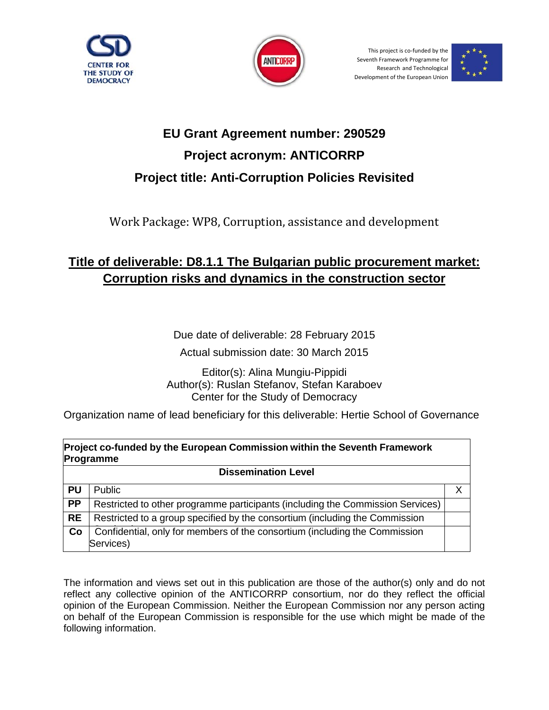



This project is co-funded by the Seventh Framework Programme for Research and Technological Development of the European Union



# **EU Grant Agreement number: 290529 Project acronym: ANTICORRP Project title: Anti-Corruption Policies Revisited**

Work Package: WP8, Corruption, assistance and development

## **Title of deliverable: D8.1.1 The Bulgarian public procurement market: Corruption risks and dynamics in the construction sector**

Due date of deliverable: 28 February 2015

Actual submission date: 30 March 2015

Editor(s): Alina Mungiu-Pippidi Author(s): Ruslan Stefanov, Stefan Karaboev Center for the Study of Democracy

Organization name of lead beneficiary for this deliverable: Hertie School of Governance

| Project co-funded by the European Commission within the Seventh Framework<br>Programme |                                                                                         |   |  |
|----------------------------------------------------------------------------------------|-----------------------------------------------------------------------------------------|---|--|
| <b>Dissemination Level</b>                                                             |                                                                                         |   |  |
| PU                                                                                     | <b>Public</b>                                                                           | X |  |
| <b>PP</b>                                                                              | Restricted to other programme participants (including the Commission Services)          |   |  |
| <b>RE</b>                                                                              | Restricted to a group specified by the consortium (including the Commission             |   |  |
| Co                                                                                     | Confidential, only for members of the consortium (including the Commission<br>Services) |   |  |

The information and views set out in this publication are those of the author(s) only and do not reflect any collective opinion of the ANTICORRP consortium, nor do they reflect the official opinion of the European Commission. Neither the European Commission nor any person acting on behalf of the European Commission is responsible for the use which might be made of the following information.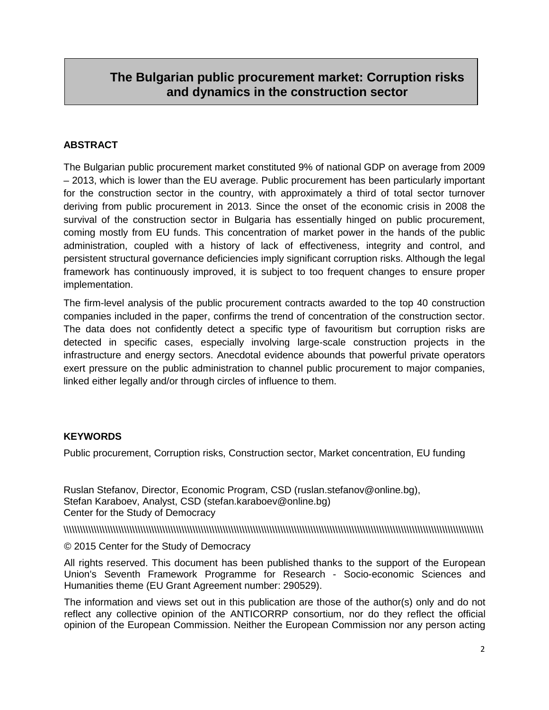## **The Bulgarian public procurement market: Corruption risks and dynamics in the construction sector**

#### **ABSTRACT**

The Bulgarian public procurement market constituted 9% of national GDP on average from 2009 – 2013, which is lower than the EU average. Public procurement has been particularly important for the construction sector in the country, with approximately a third of total sector turnover deriving from public procurement in 2013. Since the onset of the economic crisis in 2008 the survival of the construction sector in Bulgaria has essentially hinged on public procurement, coming mostly from EU funds. This concentration of market power in the hands of the public administration, coupled with a history of lack of effectiveness, integrity and control, and persistent structural governance deficiencies imply significant corruption risks. Although the legal framework has continuously improved, it is subject to too frequent changes to ensure proper implementation.

The firm-level analysis of the public procurement contracts awarded to the top 40 construction companies included in the paper, confirms the trend of concentration of the construction sector. The data does not confidently detect a specific type of favouritism but corruption risks are detected in specific cases, especially involving large-scale construction projects in the infrastructure and energy sectors. Anecdotal evidence abounds that powerful private operators exert pressure on the public administration to channel public procurement to major companies, linked either legally and/or through circles of influence to them.

#### **KEYWORDS**

Public procurement, Corruption risks, Construction sector, Market concentration, EU funding

Ruslan Stefanov, Director, Economic Program, CSD (ruslan.stefanov@online.bg), Stefan Karaboev, Analyst, CSD (stefan.karaboev@online.bg) Center for the Study of Democracy

\\\\\\\\\\\\\\\\\\\\\\\\\\\\\\\\\\\\\\\\\\\\\\\\\\\\\\\\\\\\\\\\\\\\\\\\\\\\\\\\\\\\\\\\\\\\\\\\\\\\\\\\\\\\\\\\\\\\\\\\\\\\\\\\\\\\\\\\\\\\\\\\\\\\\\\\\

#### © 2015 Center for the Study of Democracy

All rights reserved. This document has been published thanks to the support of the European Union's Seventh Framework Programme for Research - Socio-economic Sciences and Humanities theme (EU Grant Agreement number: 290529).

The information and views set out in this publication are those of the author(s) only and do not reflect any collective opinion of the ANTICORRP consortium, nor do they reflect the official opinion of the European Commission. Neither the European Commission nor any person acting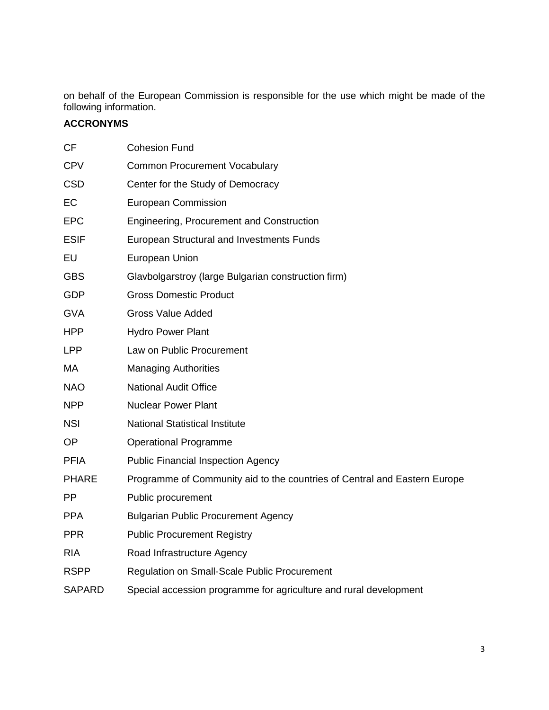on behalf of the European Commission is responsible for the use which might be made of the following information.

#### **ACCRONYMS**

| <b>CF</b>     | <b>Cohesion Fund</b>                                                      |
|---------------|---------------------------------------------------------------------------|
| <b>CPV</b>    | <b>Common Procurement Vocabulary</b>                                      |
| <b>CSD</b>    | Center for the Study of Democracy                                         |
| EC            | <b>European Commission</b>                                                |
| <b>EPC</b>    | Engineering, Procurement and Construction                                 |
| <b>ESIF</b>   | European Structural and Investments Funds                                 |
| EU            | European Union                                                            |
| <b>GBS</b>    | Glavbolgarstroy (large Bulgarian construction firm)                       |
| <b>GDP</b>    | <b>Gross Domestic Product</b>                                             |
| <b>GVA</b>    | <b>Gross Value Added</b>                                                  |
| <b>HPP</b>    | <b>Hydro Power Plant</b>                                                  |
| <b>LPP</b>    | Law on Public Procurement                                                 |
| MA            | <b>Managing Authorities</b>                                               |
| <b>NAO</b>    | <b>National Audit Office</b>                                              |
| <b>NPP</b>    | <b>Nuclear Power Plant</b>                                                |
| <b>NSI</b>    | <b>National Statistical Institute</b>                                     |
| <b>OP</b>     | <b>Operational Programme</b>                                              |
| <b>PFIA</b>   | <b>Public Financial Inspection Agency</b>                                 |
| <b>PHARE</b>  | Programme of Community aid to the countries of Central and Eastern Europe |
| <b>PP</b>     | Public procurement                                                        |
| <b>PPA</b>    | <b>Bulgarian Public Procurement Agency</b>                                |
| <b>PPR</b>    | <b>Public Procurement Registry</b>                                        |
| <b>RIA</b>    | Road Infrastructure Agency                                                |
| <b>RSPP</b>   | Regulation on Small-Scale Public Procurement                              |
| <b>SAPARD</b> | Special accession programme for agriculture and rural development         |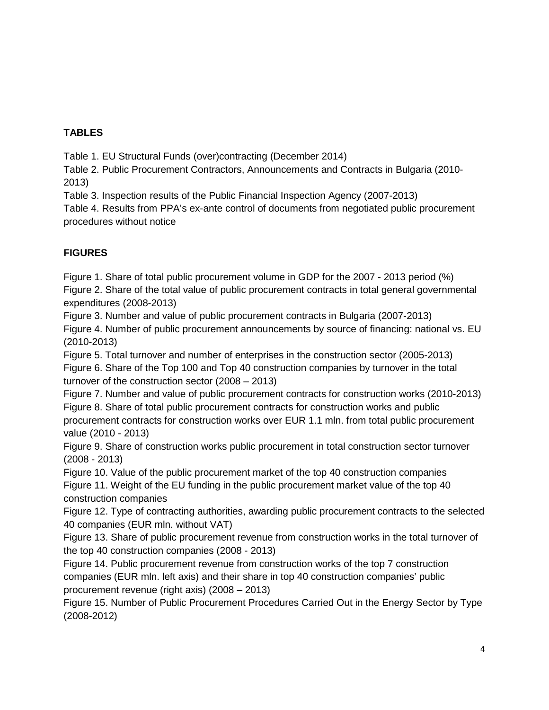#### **TABLES**

Table 1. EU Structural Funds (over)contracting (December 2014)

Table 2. Public Procurement Contractors, Announcements and Contracts in Bulgaria (2010- 2013)

Table 3. Inspection results of the Public Financial Inspection Agency (2007-2013)

Table 4. Results from PPA's ex-ante control of documents from negotiated public procurement procedures without notice

#### **FIGURES**

Figure 1. Share of total public procurement volume in GDP for the 2007 - 2013 period (%) Figure 2. Share of the total value of public procurement contracts in total general governmental expenditures (2008-2013)

Figure 3. Number and value of public procurement contracts in Bulgaria (2007-2013) Figure 4. Number of public procurement announcements by source of financing: national vs. EU (2010-2013)

Figure 5. Total turnover and number of enterprises in the construction sector (2005-2013) Figure 6. Share of the Top 100 and Top 40 construction companies by turnover in the total turnover of the construction sector (2008 – 2013)

Figure 7. Number and value of public procurement contracts for construction works (2010-2013) Figure 8. Share of total public procurement contracts for construction works and public procurement contracts for construction works over EUR 1.1 mln. from total public procurement value (2010 - 2013)

Figure 9. Share of construction works public procurement in total construction sector turnover (2008 - 2013)

Figure 10. Value of the public procurement market of the top 40 construction companies Figure 11. Weight of the EU funding in the public procurement market value of the top 40 construction companies

Figure 12. Type of contracting authorities, awarding public procurement contracts to the selected 40 companies (EUR mln. without VAT)

Figure 13. Share of public procurement revenue from construction works in the total turnover of the top 40 construction companies (2008 - 2013)

Figure 14. Public procurement revenue from construction works of the top 7 construction companies (EUR mln. left axis) and their share in top 40 construction companies' public procurement revenue (right axis) (2008 – 2013)

Figure 15. Number of Public Procurement Procedures Carried Out in the Energy Sector by Type (2008-2012)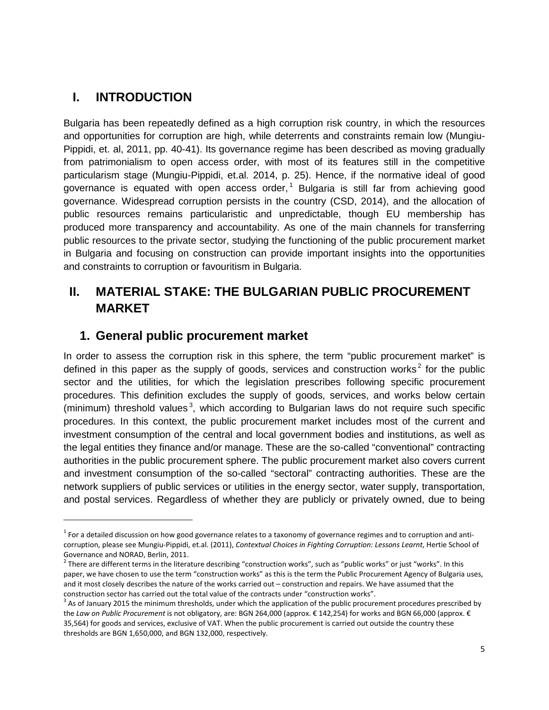### **I. INTRODUCTION**

-

Bulgaria has been repeatedly defined as a high corruption risk country, in which the resources and opportunities for corruption are high, while deterrents and constraints remain low (Mungiu-Pippidi, et. al, 2011, pp. 40-41). Its governance regime has been described as moving gradually from patrimonialism to open access order, with most of its features still in the competitive particularism stage (Mungiu-Pippidi, et.al. 2014, p. 25). Hence, if the normative ideal of good governance is equated with open access order, [1](#page-4-0) Bulgaria is still far from achieving good governance. Widespread corruption persists in the country (CSD, 2014), and the allocation of public resources remains particularistic and unpredictable, though EU membership has produced more transparency and accountability. As one of the main channels for transferring public resources to the private sector, studying the functioning of the public procurement market in Bulgaria and focusing on construction can provide important insights into the opportunities and constraints to corruption or favouritism in Bulgaria.

## **II. MATERIAL STAKE: THE BULGARIAN PUBLIC PROCUREMENT MARKET**

### **1. General public procurement market**

In order to assess the corruption risk in this sphere, the term "public procurement market" is defined in this paper as the supply of goods, services and construction works<sup>[2](#page-4-1)</sup> for the public sector and the utilities, for which the legislation prescribes following specific procurement procedures. This definition excludes the supply of goods, services, and works below certain (minimum) threshold values<sup>[3](#page-4-2)</sup>, which according to Bulgarian laws do not require such specific procedures. In this context, the public procurement market includes most of the current and investment consumption of the central and local government bodies and institutions, as well as the legal entities they finance and/or manage. These are the so-called "conventional" contracting authorities in the public procurement sphere. The public procurement market also covers current and investment consumption of the so-called "sectoral" contracting authorities. These are the network suppliers of public services or utilities in the energy sector, water supply, transportation, and postal services. Regardless of whether they are publicly or privately owned, due to being

<span id="page-4-0"></span> $1$  For a detailed discussion on how good governance relates to a taxonomy of governance regimes and to corruption and anticorruption, please see Mungiu-Pippidi, et.al. (2011), *Contextual Choices in Fighting Corruption: Lessons Learnt*, Hertie School of Governance and NORAD, Berlin, 2011.

<span id="page-4-1"></span> $^2$  There are different terms in the literature describing "construction works", such as "public works" or just "works". In this paper, we have chosen to use the term "construction works" as this is the term the Public Procurement Agency of Bulgaria uses, and it most closely describes the nature of the works carried out – construction and repairs. We have assumed that the construction sector has carried out the total value of the contracts under "construction works".

<span id="page-4-2"></span> $3$  As of January 2015 the minimum thresholds, under which the application of the public procurement procedures prescribed by the *Law on Public Procurement* is not obligatory, are: BGN 264,000 (approx. € 142,254) for works and BGN 66,000 (approx. € 35,564) for goods and services, exclusive of VAT. When the public procurement is carried out outside the country these thresholds are BGN 1,650,000, and BGN 132,000, respectively.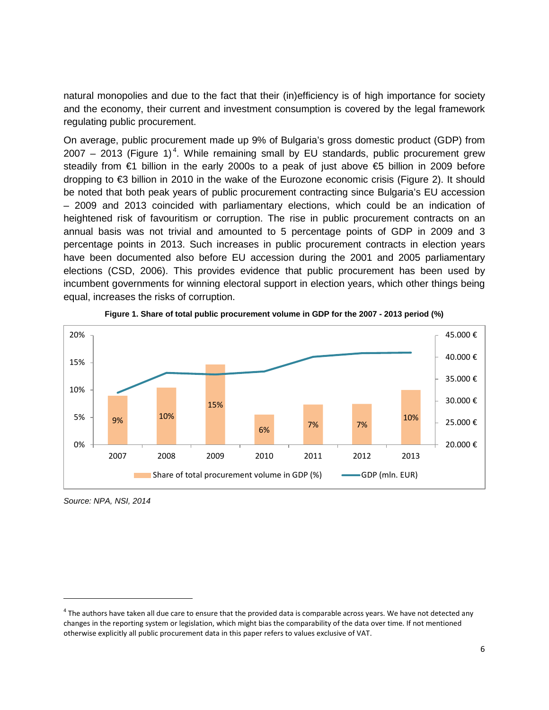natural monopolies and due to the fact that their (in)efficiency is of high importance for society and the economy, their current and investment consumption is covered by the legal framework regulating public procurement.

On average, public procurement made up 9% of Bulgaria's gross domestic product (GDP) from 2007 – 2013 (Figure 1)<sup>[4](#page-5-0)</sup>. While remaining small by EU standards, public procurement grew steadily from €1 billion in the early 2000s to a peak of just above €5 billion in 2009 before dropping to €3 billion in 2010 in the wake of the Eurozone economic crisis (Figure 2). It should be noted that both peak years of public procurement contracting since Bulgaria's EU accession – 2009 and 2013 coincided with parliamentary elections, which could be an indication of heightened risk of favouritism or corruption. The rise in public procurement contracts on an annual basis was not trivial and amounted to 5 percentage points of GDP in 2009 and 3 percentage points in 2013. Such increases in public procurement contracts in election years have been documented also before EU accession during the 2001 and 2005 parliamentary elections (CSD, 2006). This provides evidence that public procurement has been used by incumbent governments for winning electoral support in election years, which other things being equal, increases the risks of corruption.



**Figure 1. Share of total public procurement volume in GDP for the 2007 - 2013 period (%)**

*Source: NPA, NSI, 2014*

 $\ddot{\phantom{a}}$ 

<span id="page-5-0"></span> $4$  The authors have taken all due care to ensure that the provided data is comparable across years. We have not detected any changes in the reporting system or legislation, which might bias the comparability of the data over time. If not mentioned otherwise explicitly all public procurement data in this paper refers to values exclusive of VAT.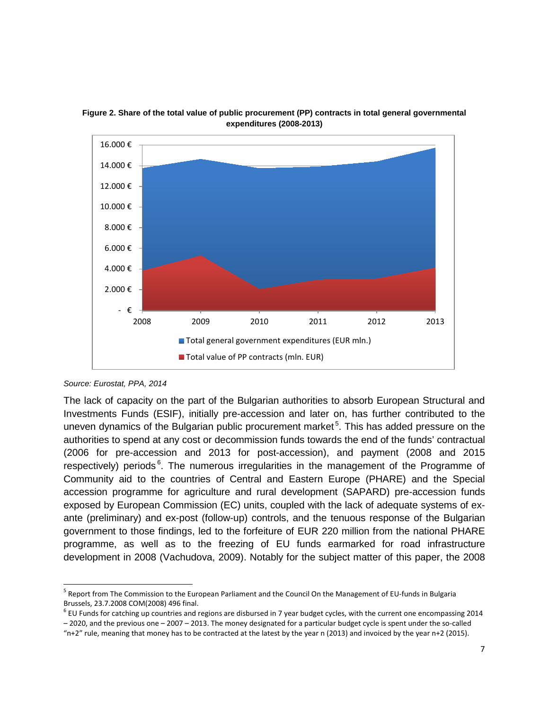

**Figure 2. Share of the total value of public procurement (PP) contracts in total general governmental expenditures (2008-2013)**

The lack of capacity on the part of the Bulgarian authorities to absorb European Structural and Investments Funds (ESIF), initially pre-accession and later on, has further contributed to the uneven dynamics of the Bulgarian public procurement market<sup>[5](#page-6-0)</sup>. This has added pressure on the authorities to spend at any cost or decommission funds towards the end of the funds' contractual (2006 for pre-accession and 2013 for post-accession), and payment (2008 and 2015 respectively) periods<sup>[6](#page-6-1)</sup>. The numerous irregularities in the management of the Programme of Community aid to the countries of Central and Eastern Europe (PHARE) and the Special accession programme for agriculture and rural development (SAPARD) pre-accession funds exposed by European Commission (EC) units, coupled with the lack of adequate systems of exante (preliminary) and ex-post (follow-up) controls, and the tenuous response of the Bulgarian government to those findings, led to the forfeiture of EUR 220 million from the national PHARE programme, as well as to the freezing of EU funds earmarked for road infrastructure development in 2008 (Vachudova, 2009). Notably for the subject matter of this paper, the 2008

*Source: Eurostat, PPA, 2014*

<span id="page-6-0"></span><sup>5</sup> Report from The Commission to the European Parliament and the Council On the Management of EU-funds in Bulgaria Brussels, 23.7.2008 COM(2008) 496 final.  $\ddot{\phantom{a}}$ 

<span id="page-6-1"></span> $6$  EU Funds for catching up countries and regions are disbursed in 7 year budget cycles, with the current one encompassing 2014 – 2020, and the previous one – 2007 – 2013. The money designated for a particular budget cycle is spent under the so-called

<sup>&</sup>quot; $n+2$ " rule, meaning that money has to be contracted at the latest by the year n (2013) and invoiced by the year  $n+2$  (2015).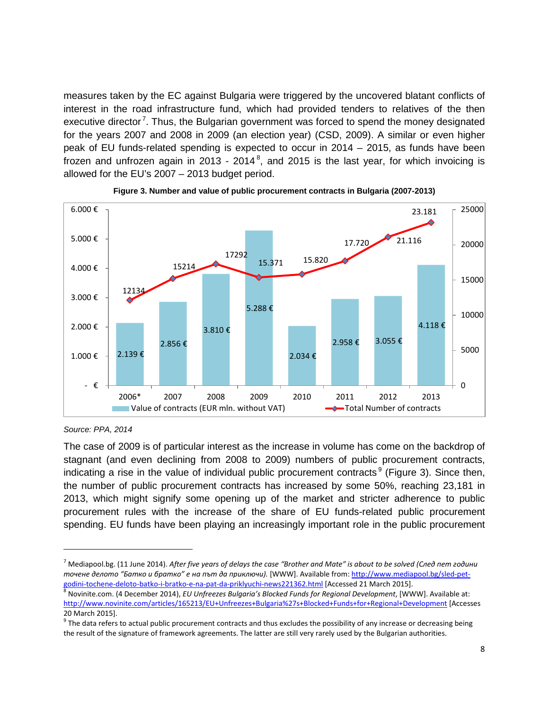measures taken by the EC against Bulgaria were triggered by the uncovered blatant conflicts of interest in the road infrastructure fund, which had provided tenders to relatives of the then executive director<sup>[7](#page-7-0)</sup>. Thus, the Bulgarian government was forced to spend the money designated for the years 2007 and 2008 in 2009 (an election year) (CSD, 2009). A similar or even higher peak of EU funds-related spending is expected to occur in 2014 – 2015, as funds have been frozen and unfrozen again in 2013 - 2014<sup>[8](#page-7-1)</sup>, and 2015 is the last year, for which invoicing is allowed for the EU's 2007 – 2013 budget period.





*Source: PPA, 2014*

-

The case of 2009 is of particular interest as the increase in volume has come on the backdrop of stagnant (and even declining from 2008 to 2009) numbers of public procurement contracts, indicating a rise in the value of individual public procurement contracts<sup>[9](#page-7-2)</sup> (Figure 3). Since then, the number of public procurement contracts has increased by some 50%, reaching 23,181 in 2013, which might signify some opening up of the market and stricter adherence to public procurement rules with the increase of the share of EU funds-related public procurement spending. EU funds have been playing an increasingly important role in the public procurement

<span id="page-7-0"></span><sup>7</sup> Mediapool.bg. (11 June 2014). *After five years of delays the case "Brother and Mate" is about to be solved (След пет години точене делото "Батко и братко" е на път да приключи).* [WWW]. Available from[: http://www.mediapool.bg/sled-pet](http://www.mediapool.bg/sled-pet-godini-tochene-deloto-batko-i-bratko-e-na-pat-da-priklyuchi-news221362.html)[godini-tochene-deloto-batko-i-bratko-e-na-pat-da-priklyuchi-news221362.html](http://www.mediapool.bg/sled-pet-godini-tochene-deloto-batko-i-bratko-e-na-pat-da-priklyuchi-news221362.html) [Accessed 21 March 2015].<br><sup>8</sup> Novinite.com. (4 December 2014), *EU Unfreezes Bulgaria's Blocked Funds for Regional Development*, [WWW]. Available

<span id="page-7-1"></span><http://www.novinite.com/articles/165213/EU+Unfreezes+Bulgaria%27s+Blocked+Funds+for+Regional+Development> [Accesses 20 March 2015].

<span id="page-7-2"></span> $9$  The data refers to actual public procurement contracts and thus excludes the possibility of any increase or decreasing being the result of the signature of framework agreements. The latter are still very rarely used by the Bulgarian authorities.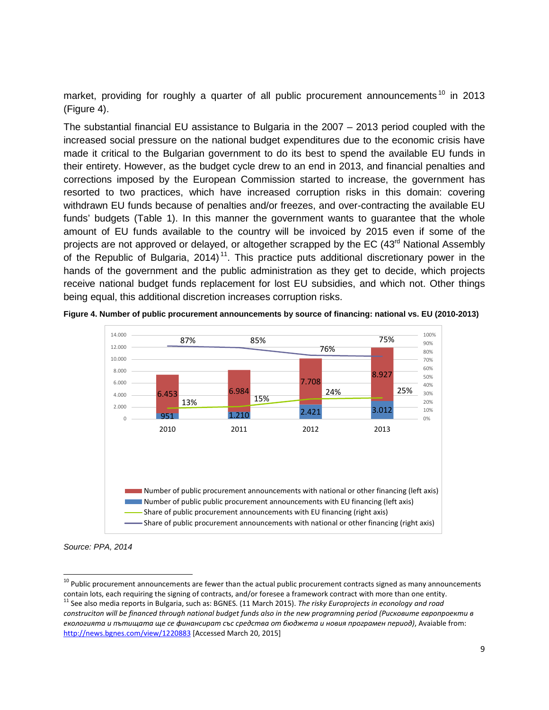market, providing for roughly a quarter of all public procurement announcements<sup>[10](#page-8-0)</sup> in 2013 (Figure 4).

The substantial financial EU assistance to Bulgaria in the 2007 – 2013 period coupled with the increased social pressure on the national budget expenditures due to the economic crisis have made it critical to the Bulgarian government to do its best to spend the available EU funds in their entirety. However, as the budget cycle drew to an end in 2013, and financial penalties and corrections imposed by the European Commission started to increase, the government has resorted to two practices, which have increased corruption risks in this domain: covering withdrawn EU funds because of penalties and/or freezes, and over-contracting the available EU funds' budgets (Table 1). In this manner the government wants to guarantee that the whole amount of EU funds available to the country will be invoiced by 2015 even if some of the projects are not approved or delayed, or altogether scrapped by the EC (43<sup>rd</sup> National Assembly of the Republic of Bulgaria, 2014)<sup>11</sup>. This practice puts additional discretionary power in the hands of the government and the public administration as they get to decide, which projects receive national budget funds replacement for lost EU subsidies, and which not. Other things being equal, this additional discretion increases corruption risks.





*Source: PPA, 2014*

 $\ddot{\phantom{a}}$ 

<span id="page-8-1"></span><span id="page-8-0"></span><sup>&</sup>lt;sup>10</sup> Public procurement announcements are fewer than the actual public procurement contracts signed as many announcements contain lots, each requiring the signing of contracts, and/or foresee a framework contract with more than one entity. <sup>11</sup> See also media reports in Bulgaria, such as: BGNES. (11 March 2015). *The risky Europrojects in econology and road construciton will be financed through national budget funds also in the new programning period (Рисковите европроекти в екологията и пътищата ще се финансират със средства от бюджета и новия програмен период)*, Avaiable from: <http://news.bgnes.com/view/1220883> [Accessed March 20, 2015]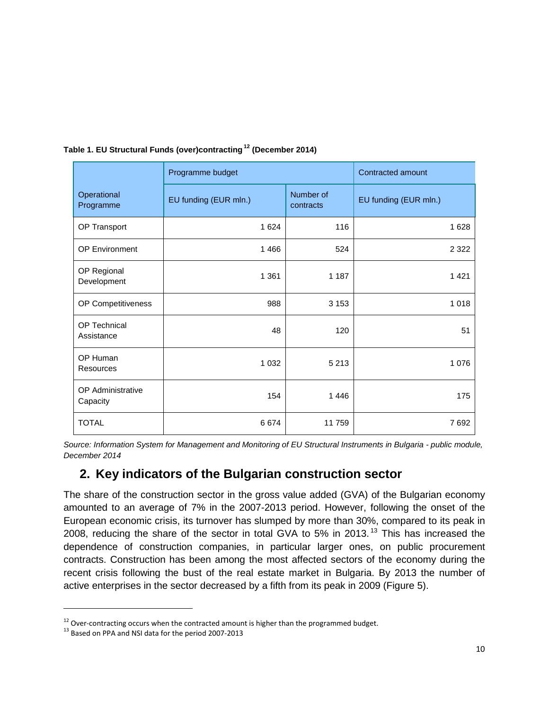|                                   | Programme budget      | Contracted amount      |                       |
|-----------------------------------|-----------------------|------------------------|-----------------------|
| Operational<br>Programme          | EU funding (EUR mln.) | Number of<br>contracts | EU funding (EUR mln.) |
| OP Transport                      | 1 6 2 4               | 116                    | 1 6 2 8               |
| <b>OP Environment</b>             | 1466                  | 524                    | 2 3 2 2               |
| OP Regional<br>Development        | 1 3 6 1               | 1 1 8 7                | 1 4 2 1               |
| OP Competitiveness                | 988                   | 3 1 5 3                | 1 0 1 8               |
| <b>OP Technical</b><br>Assistance | 48                    | 120                    | 51                    |
| OP Human<br><b>Resources</b>      | 1 0 3 2               | 5 2 1 3                | 1 0 7 6               |
| OP Administrative<br>Capacity     | 154                   | 1446                   | 175                   |
| <b>TOTAL</b>                      | 6674                  | 11 759                 | 7692                  |

#### **Table 1. EU Structural Funds (over)contracting [12](#page-9-0) (December 2014)**

*Source: Information System for Management and Monitoring of EU Structural Instruments in Bulgaria - public module, December 2014*

### **2. Key indicators of the Bulgarian construction sector**

The share of the construction sector in the gross value added (GVA) of the Bulgarian economy amounted to an average of 7% in the 2007-2013 period. However, following the onset of the European economic crisis, its turnover has slumped by more than 30%, compared to its peak in 2008, reducing the share of the sector in total GVA to 5% in 2013. [13](#page-9-1) This has increased the dependence of construction companies, in particular larger ones, on public procurement contracts. Construction has been among the most affected sectors of the economy during the recent crisis following the bust of the real estate market in Bulgaria. By 2013 the number of active enterprises in the sector decreased by a fifth from its peak in 2009 (Figure 5).

 $\ddot{\phantom{a}}$ 

<span id="page-9-0"></span><sup>&</sup>lt;sup>12</sup> Over-contracting occurs when the contracted amount is higher than the programmed budget.<br><sup>13</sup> Based on PPA and NSI data for the period 2007-2013

<span id="page-9-1"></span>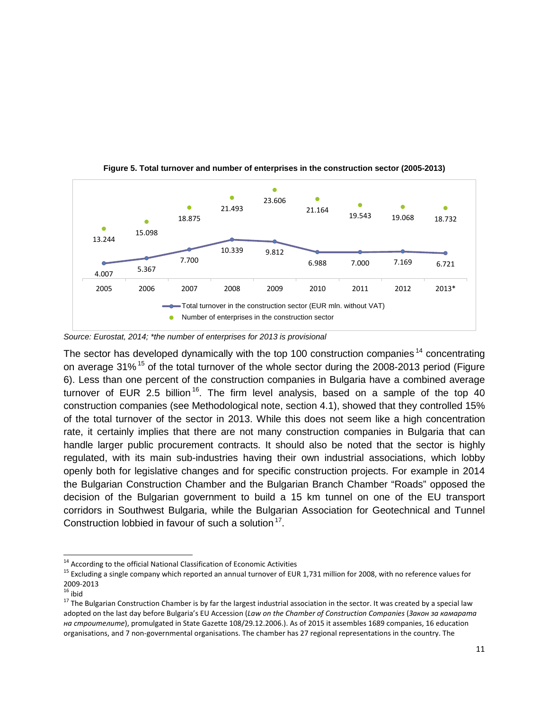

**Figure 5. Total turnover and number of enterprises in the construction sector (2005-2013)**

*Source: Eurostat, 2014; \*the number of enterprises for 2013 is provisional*

The sector has developed dynamically with the top 100 construction companies<sup>[14](#page-10-0)</sup> concentrating on average  $31\%$ <sup>[15](#page-10-1)</sup> of the total turnover of the whole sector during the 2008-2013 period (Figure 6). Less than one percent of the construction companies in Bulgaria have a combined average turnover of EUR 2.5 billion  $16$ . The firm level analysis, based on a sample of the top 40 construction companies (see Methodological note, section 4.1), showed that they controlled 15% of the total turnover of the sector in 2013. While this does not seem like a high concentration rate, it certainly implies that there are not many construction companies in Bulgaria that can handle larger public procurement contracts. It should also be noted that the sector is highly regulated, with its main sub-industries having their own industrial associations, which lobby openly both for legislative changes and for specific construction projects. For example in 2014 the Bulgarian Construction Chamber and the Bulgarian Branch Chamber "Roads" opposed the decision of the Bulgarian government to build a 15 km tunnel on one of the EU transport corridors in Southwest Bulgaria, while the Bulgarian Association for Geotechnical and Tunnel Construction lobbied in favour of such a solution  $17$ .

<span id="page-10-0"></span><sup>&</sup>lt;sup>14</sup> According to the official National Classification of Economic Activities

<span id="page-10-1"></span><sup>&</sup>lt;sup>15</sup> Excluding a single company which reported an annual turnover of EUR 1,731 million for 2008, with no reference values for<br>2009-2013

<span id="page-10-3"></span><span id="page-10-2"></span><sup>&</sup>lt;sup>16</sup> ibid<br><sup>17</sup> The Bulgarian Construction Chamber is by far the largest industrial association in the sector. It was created by a special law adopted on the last day before Bulgaria's EU Accession (*Law on the Chamber of Construction Companies* (*Закон за камаратa на строителите*), promulgated in State Gazette 108/29.12.2006.). As of 2015 it assembles 1689 companies, 16 education organisations, and 7 non-governmental organisations. The chamber has 27 regional representations in the country. The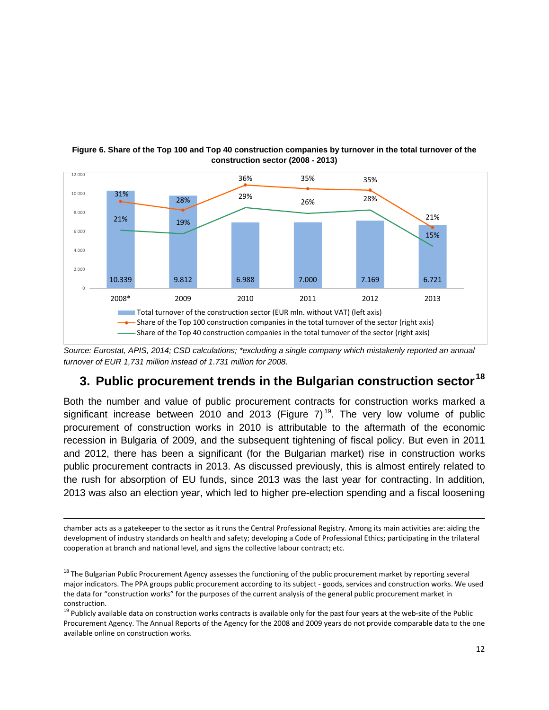

#### **Figure 6. Share of the Top 100 and Top 40 construction companies by turnover in the total turnover of the construction sector (2008 - 2013)**

*Source: Eurostat, APIS, 2014; CSD calculations; \*excluding a single company which mistakenly reported an annual turnover of EUR 1,731 million instead of 1.731 million for 2008.*

## **3. Public procurement trends in the Bulgarian construction sector [18](#page-11-0)**

Both the number and value of public procurement contracts for construction works marked a significant increase between 2010 and 2013 (Figure 7)<sup>19</sup>. The very low volume of public procurement of construction works in 2010 is attributable to the aftermath of the economic recession in Bulgaria of 2009, and the subsequent tightening of fiscal policy. But even in 2011 and 2012, there has been a significant (for the Bulgarian market) rise in construction works public procurement contracts in 2013. As discussed previously, this is almost entirely related to the rush for absorption of EU funds, since 2013 was the last year for contracting. In addition, 2013 was also an election year, which led to higher pre-election spending and a fiscal loosening

chamber acts as a gatekeeper to the sector as it runs the Central Professional Registry. Among its main activities are: aiding the development of industry standards on health and safety; developing a Code of Professional Ethics; participating in the trilateral cooperation at branch and national level, and signs the collective labour contract; etc.

 $\ddot{\phantom{a}}$ 

<span id="page-11-0"></span><sup>18</sup> The Bulgarian Public Procurement Agency assesses the functioning of the public procurement market by reporting several major indicators. The PPA groups public procurement according to its subject - goods, services and construction works. We used the data for "construction works" for the purposes of the current analysis of the general public procurement market in construction.

<span id="page-11-1"></span> $19$  Publicly available data on construction works contracts is available only for the past four years at the web-site of the Public Procurement Agency. The Annual Reports of the Agency for the 2008 and 2009 years do not provide comparable data to the one available online on construction works.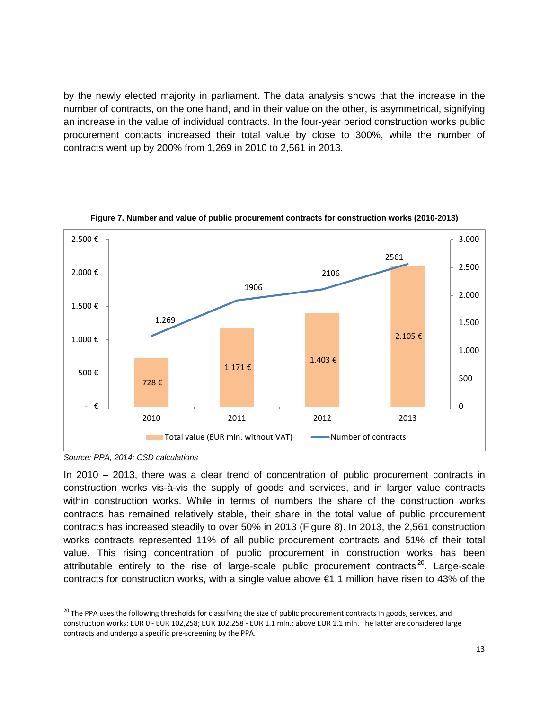by the newly elected majority in parliament. The data analysis shows that the increase in the number of contracts, on the one hand, and in their value on the other, is asymmetrical, signifying an increase in the value of individual contracts. In the four-year period construction works public procurement contacts increased their total value by close to 300%, while the number of contracts went up by 200% from 1,269 in 2010 to 2,561 in 2013.



#### **Figure 7. Number and value of public procurement contracts for construction works (2010-2013)**

*Source: PPA, 2014; CSD calculations*

In 2010 – 2013, there was a clear trend of concentration of public procurement contracts in construction works vis-à-vis the supply of goods and services, and in larger value contracts within construction works. While in terms of numbers the share of the construction works contracts has remained relatively stable, their share in the total value of public procurement contracts has increased steadily to over 50% in 2013 (Figure 8). In 2013, the 2,561 construction works contracts represented 11% of all public procurement contracts and 51% of their total value. This rising concentration of public procurement in construction works has been attributable entirely to the rise of large-scale public procurement contracts<sup>[20](#page-12-0)</sup>. Large-scale contracts for construction works, with a single value above €1.1 million have risen to 43% of the

<span id="page-12-0"></span><sup>&</sup>lt;sup>20</sup> The PPA uses the following thresholds for classifying the size of public procurement contracts in goods, services, and construction works: EUR 0 - EUR 102,258; EUR 102,258 - EUR 1.1 mln.; above EUR 1.1 mln. The latter are considered large contracts and undergo a specific pre-screening by the PPA.  $\overline{\phantom{a}}$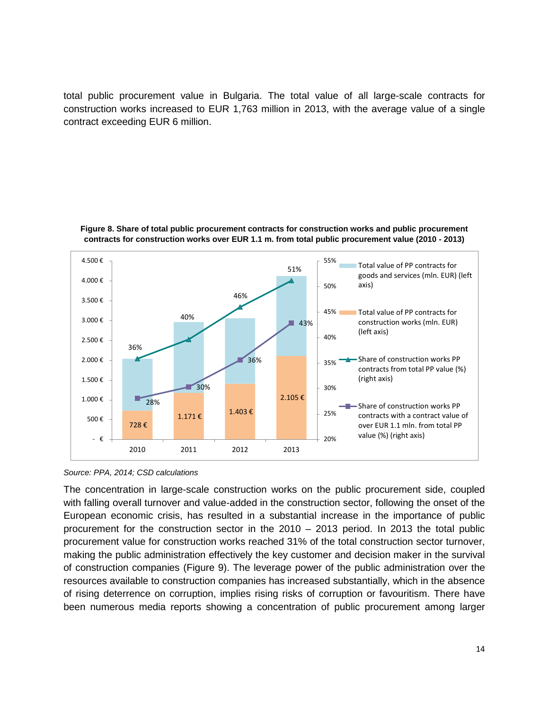total public procurement value in Bulgaria. The total value of all large-scale contracts for construction works increased to EUR 1,763 million in 2013, with the average value of a single contract exceeding EUR 6 million.





*Source: PPA, 2014; CSD calculations*

The concentration in large-scale construction works on the public procurement side, coupled with falling overall turnover and value-added in the construction sector, following the onset of the European economic crisis, has resulted in a substantial increase in the importance of public procurement for the construction sector in the 2010 – 2013 period. In 2013 the total public procurement value for construction works reached 31% of the total construction sector turnover, making the public administration effectively the key customer and decision maker in the survival of construction companies (Figure 9). The leverage power of the public administration over the resources available to construction companies has increased substantially, which in the absence of rising deterrence on corruption, implies rising risks of corruption or favouritism. There have been numerous media reports showing a concentration of public procurement among larger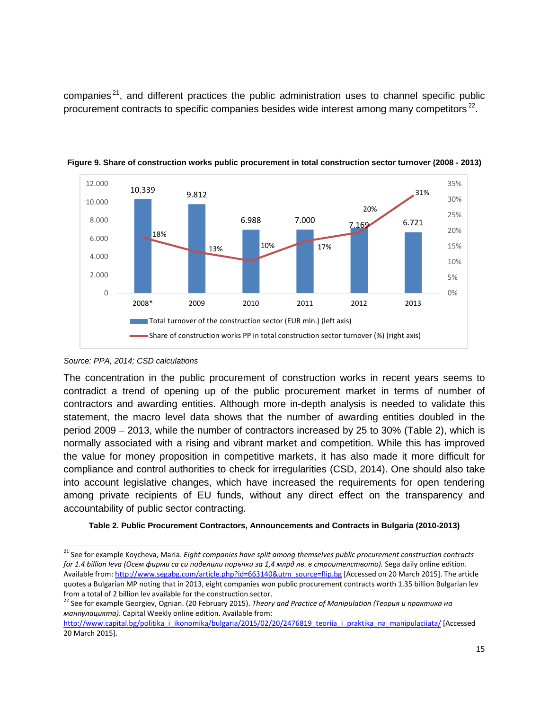companies<sup>[21](#page-14-0)</sup>, and different practices the public administration uses to channel specific public procurement contracts to specific companies besides wide interest among many competitors<sup>[22](#page-14-1)</sup>.



**Figure 9. Share of construction works public procurement in total construction sector turnover (2008 - 2013)**

The concentration in the public procurement of construction works in recent years seems to contradict a trend of opening up of the public procurement market in terms of number of contractors and awarding entities. Although more in-depth analysis is needed to validate this statement, the macro level data shows that the number of awarding entities doubled in the period 2009 – 2013, while the number of contractors increased by 25 to 30% (Table 2), which is normally associated with a rising and vibrant market and competition. While this has improved the value for money proposition in competitive markets, it has also made it more difficult for compliance and control authorities to check for irregularities (CSD, 2014). One should also take into account legislative changes, which have increased the requirements for open tendering among private recipients of EU funds, without any direct effect on the transparency and accountability of public sector contracting.

#### **Table 2. Public Procurement Contractors, Announcements and Contracts in Bulgaria (2010-2013)**

*Source: PPA, 2014; CSD calculations*

<span id="page-14-0"></span><sup>21</sup> See for example Koycheva, Maria. *Eight companies have split among themselves public procurement construction contracts for 1.4 billion leva (Осем фирми са си поделили поръчки за 1,4 млрд лв. в строителството).* Sega daily online edition. Available from[: http://www.segabg.com/article.php?id=663140&utm\\_source=flip.bg](http://www.segabg.com/article.php?id=663140&utm_source=flip.bg) [Accessed on 20 March 2015]. The article quotes a Bulgarian MP noting that in 2013, eight companies won public procurement contracts worth 1.35 billion Bulgarian lev from a total of 2 billion lev available for the construction sector.<br><sup>22</sup> See for example Georgiev, Ognian. (20 February 2015). *Theory and Practice of Manipulation (Теория и практика на*  $\overline{\phantom{a}}$ 

<span id="page-14-1"></span>*манпулацията)*. Capital Weekly online edition. Available from:

http://www.capital.bg/politika i ikonomika/bulgaria/2015/02/20/2476819 teoriia i praktika na manipulaciiata/ [Accessed 20 March 2015].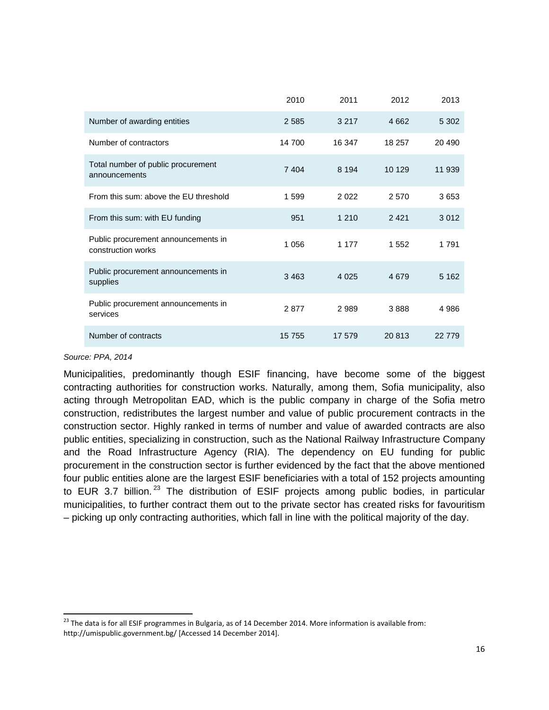|                                                           | 2010    | 2011    | 2012   | 2013    |
|-----------------------------------------------------------|---------|---------|--------|---------|
| Number of awarding entities                               | 2585    | 3 2 1 7 | 4662   | 5 3 0 2 |
| Number of contractors                                     | 14 700  | 16 347  | 18 257 | 20 490  |
| Total number of public procurement<br>announcements       | 7 4 0 4 | 8 1 9 4 | 10 129 | 11 939  |
| From this sum: above the EU threshold                     | 1599    | 2 0 2 2 | 2570   | 3653    |
| From this sum: with EU funding                            | 951     | 1 2 1 0 | 2421   | 3012    |
| Public procurement announcements in<br>construction works | 1 0 5 6 | 1 1 7 7 | 1552   | 1791    |
| Public procurement announcements in<br>supplies           | 3463    | 4 0 2 5 | 4679   | 5 1 6 2 |
| Public procurement announcements in<br>services           | 2877    | 2989    | 3888   | 4 9 8 6 |
| Number of contracts                                       | 15 755  | 17 579  | 20 813 | 22 779  |

#### *Source: PPA, 2014*

 $\overline{\phantom{a}}$ 

Municipalities, predominantly though ESIF financing, have become some of the biggest contracting authorities for construction works. Naturally, among them, Sofia municipality, also acting through Metropolitan EAD, which is the public company in charge of the Sofia metro construction, redistributes the largest number and value of public procurement contracts in the construction sector. Highly ranked in terms of number and value of awarded contracts are also public entities, specializing in construction, such as the National Railway Infrastructure Company and the Road Infrastructure Agency (RIA). The dependency on EU funding for public procurement in the construction sector is further evidenced by the fact that the above mentioned four public entities alone are the largest ESIF beneficiaries with a total of 152 projects amounting to EUR 3.7 billion.<sup>[23](#page-15-0)</sup> The distribution of ESIF projects among public bodies, in particular municipalities, to further contract them out to the private sector has created risks for favouritism – picking up only contracting authorities, which fall in line with the political majority of the day.

<span id="page-15-0"></span> $^{23}$  The data is for all ESIF programmes in Bulgaria, as of 14 December 2014. More information is available from: http://umispublic.government.bg/ [Accessed 14 December 2014].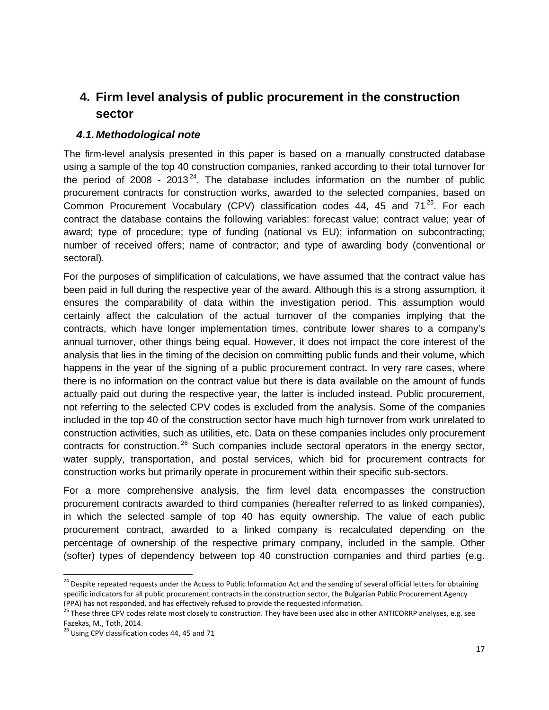## **4. Firm level analysis of public procurement in the construction sector**

#### *4.1.Methodological note*

The firm-level analysis presented in this paper is based on a manually constructed database using a sample of the top 40 construction companies, ranked according to their total turnover for the period of 2008 - 2013<sup>[24](#page-16-0)</sup>. The database includes information on the number of public procurement contracts for construction works, awarded to the selected companies, based on Common Procurement Vocabulary (CPV) classification codes 44, 45 and  $71^{25}$ . For each contract the database contains the following variables: forecast value; contract value; year of award; type of procedure; type of funding (national vs EU); information on subcontracting; number of received offers; name of contractor; and type of awarding body (conventional or sectoral).

For the purposes of simplification of calculations, we have assumed that the contract value has been paid in full during the respective year of the award. Although this is a strong assumption, it ensures the comparability of data within the investigation period. This assumption would certainly affect the calculation of the actual turnover of the companies implying that the contracts, which have longer implementation times, contribute lower shares to a company's annual turnover, other things being equal. However, it does not impact the core interest of the analysis that lies in the timing of the decision on committing public funds and their volume, which happens in the year of the signing of a public procurement contract. In very rare cases, where there is no information on the contract value but there is data available on the amount of funds actually paid out during the respective year, the latter is included instead. Public procurement, not referring to the selected CPV codes is excluded from the analysis. Some of the companies included in the top 40 of the construction sector have much high turnover from work unrelated to construction activities, such as utilities, etc. Data on these companies includes only procurement contracts for construction.<sup>[26](#page-16-2)</sup> Such companies include sectoral operators in the energy sector, water supply, transportation, and postal services, which bid for procurement contracts for construction works but primarily operate in procurement within their specific sub-sectors.

For a more comprehensive analysis, the firm level data encompasses the construction procurement contracts awarded to third companies (hereafter referred to as linked companies), in which the selected sample of top 40 has equity ownership. The value of each public procurement contract, awarded to a linked company is recalculated depending on the percentage of ownership of the respective primary company, included in the sample. Other (softer) types of dependency between top 40 construction companies and third parties (e.g.

<span id="page-16-0"></span><sup>&</sup>lt;sup>24</sup> Despite repeated requests under the Access to Public Information Act and the sending of several official letters for obtaining specific indicators for all public procurement contracts in the construction sector, the Bulgarian Public Procurement Agency (PPA) has not responded, and has effectively refused to provide the requested information.  $\overline{\phantom{a}}$ 

<span id="page-16-1"></span><sup>25</sup> These three CPV codes relate most closely to construction. They have been used also in other ANTICORRP analyses, e.g. see Fazekas, M., Toth, 2014.

<span id="page-16-2"></span> $26$  Using CPV classification codes 44, 45 and 71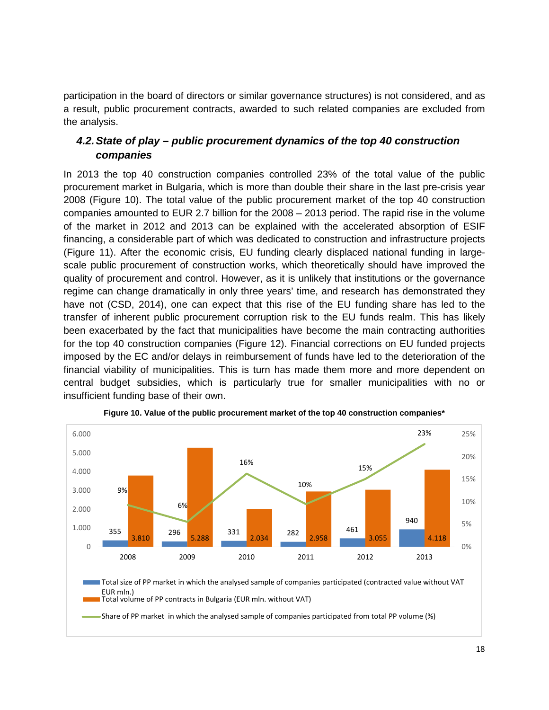participation in the board of directors or similar governance structures) is not considered, and as a result, public procurement contracts, awarded to such related companies are excluded from the analysis.

#### *4.2.State of play – public procurement dynamics of the top 40 construction companies*

In 2013 the top 40 construction companies controlled 23% of the total value of the public procurement market in Bulgaria, which is more than double their share in the last pre-crisis year 2008 (Figure 10). The total value of the public procurement market of the top 40 construction companies amounted to EUR 2.7 billion for the 2008 – 2013 period. The rapid rise in the volume of the market in 2012 and 2013 can be explained with the accelerated absorption of ESIF financing, a considerable part of which was dedicated to construction and infrastructure projects (Figure 11). After the economic crisis, EU funding clearly displaced national funding in largescale public procurement of construction works, which theoretically should have improved the quality of procurement and control. However, as it is unlikely that institutions or the governance regime can change dramatically in only three years' time, and research has demonstrated they have not (CSD, 2014), one can expect that this rise of the EU funding share has led to the transfer of inherent public procurement corruption risk to the EU funds realm. This has likely been exacerbated by the fact that municipalities have become the main contracting authorities for the top 40 construction companies (Figure 12). Financial corrections on EU funded projects imposed by the EC and/or delays in reimbursement of funds have led to the deterioration of the financial viability of municipalities. This is turn has made them more and more dependent on central budget subsidies, which is particularly true for smaller municipalities with no or insufficient funding base of their own.



**Figure 10. Value of the public procurement market of the top 40 construction companies\***

Share of PP market in which the analysed sample of companies participated from total PP volume (%)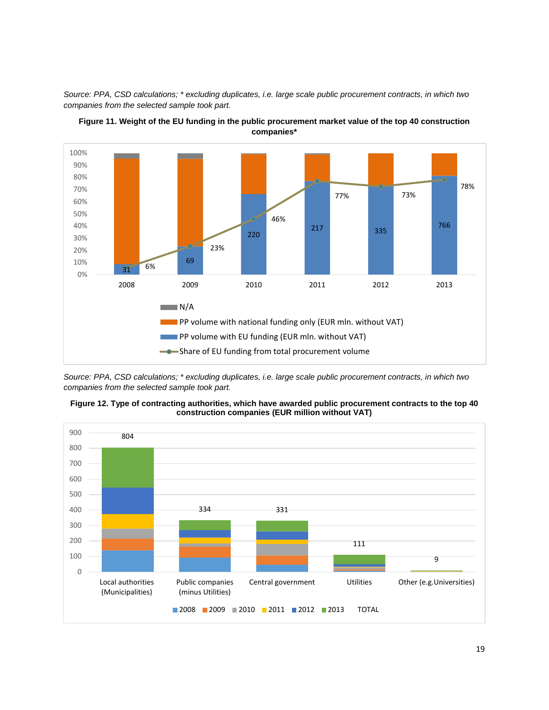*Source: PPA, CSD calculations; \* excluding duplicates, i.e. large scale public procurement contracts, in which two companies from the selected sample took part.*





*Source: PPA, CSD calculations; \* excluding duplicates, i.e. large scale public procurement contracts, in which two companies from the selected sample took part.*



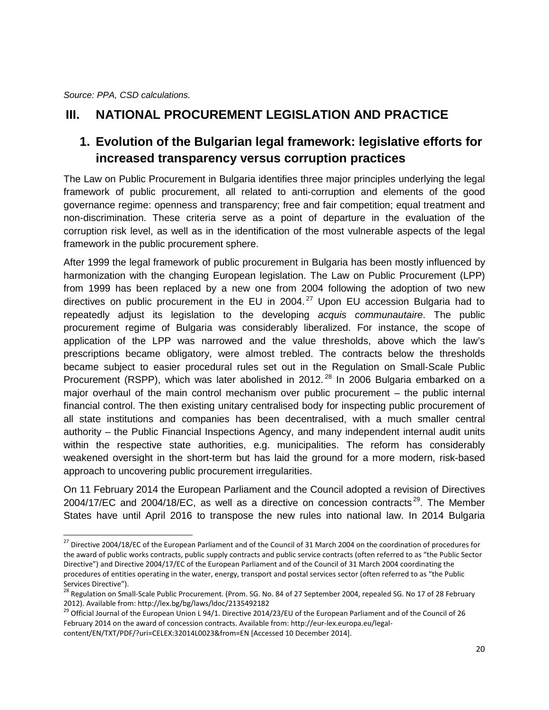*Source: PPA, CSD calculations.*

## **III. NATIONAL PROCUREMENT LEGISLATION AND PRACTICE**

## **1. Evolution of the Bulgarian legal framework: legislative efforts for increased transparency versus corruption practices**

The Law on Public Procurement in Bulgaria identifies three major principles underlying the legal framework of public procurement, all related to anti-corruption and elements of the good governance regime: openness and transparency; free and fair competition; equal treatment and non-discrimination. These criteria serve as a point of departure in the evaluation of the corruption risk level, as well as in the identification of the most vulnerable aspects of the legal framework in the public procurement sphere.

After 1999 the legal framework of public procurement in Bulgaria has been mostly influenced by harmonization with the changing European legislation. The Law on Public Procurement (LPP) from 1999 has been replaced by a new one from 2004 following the adoption of two new directives on public procurement in the EU in 2004. $^{27}$  $^{27}$  $^{27}$  Upon EU accession Bulgaria had to repeatedly adjust its legislation to the developing *acquis communautaire*. The public procurement regime of Bulgaria was considerably liberalized. For instance, the scope of application of the LPP was narrowed and the value thresholds, above which the law's prescriptions became obligatory, were almost trebled. The contracts below the thresholds became subject to easier procedural rules set out in the Regulation on Small-Scale Public Procurement (RSPP), which was later abolished in 2012.<sup>[28](#page-19-1)</sup> In 2006 Bulgaria embarked on a major overhaul of the main control mechanism over public procurement – the public internal financial control. The then existing unitary centralised body for inspecting public procurement of all state institutions and companies has been decentralised, with a much smaller central authority – the Public Financial Inspections Agency, and many independent internal audit units within the respective state authorities, e.g. municipalities. The reform has considerably weakened oversight in the short-term but has laid the ground for a more modern, risk-based approach to uncovering public procurement irregularities.

On 11 February 2014 the European Parliament and the Council adopted a revision of Directives 2004/17/EC and 2004/18/EC, as well as a directive on concession contracts<sup>29</sup>. The Member States have until April 2016 to transpose the new rules into national law. In 2014 Bulgaria

<span id="page-19-0"></span> $^{27}$  Directive 2004/18/EC of the European Parliament and of the Council of 31 March 2004 on the coordination of procedures for the award of public works contracts, public supply contracts and public service contracts (often referred to as "the Public Sector Directive") and Directive 2004/17/EC of the European Parliament and of the Council of 31 March 2004 coordinating the procedures of entities operating in the water, energy, transport and postal services sector (often referred to as "the Public Services Directive").<br><sup>28</sup> Regulation on Small-Scale Public Procurement. (Prom. SG. No. 84 of 27 September 2004, repealed SG. No 17 of 28 February  $\overline{a}$ 

<span id="page-19-1"></span><sup>2012).</sup> Available from: http://lex.bg/bg/laws/ldoc/2135492182

<span id="page-19-2"></span><sup>&</sup>lt;sup>29</sup> Official Journal of the European Union L 94/1. Directive 2014/23/EU of the European Parliament and of the Council of 26 February 2014 on the award of concession contracts. Available from: http://eur-lex.europa.eu/legalcontent/EN/TXT/PDF/?uri=CELEX:32014L0023&from=EN [Accessed 10 December 2014].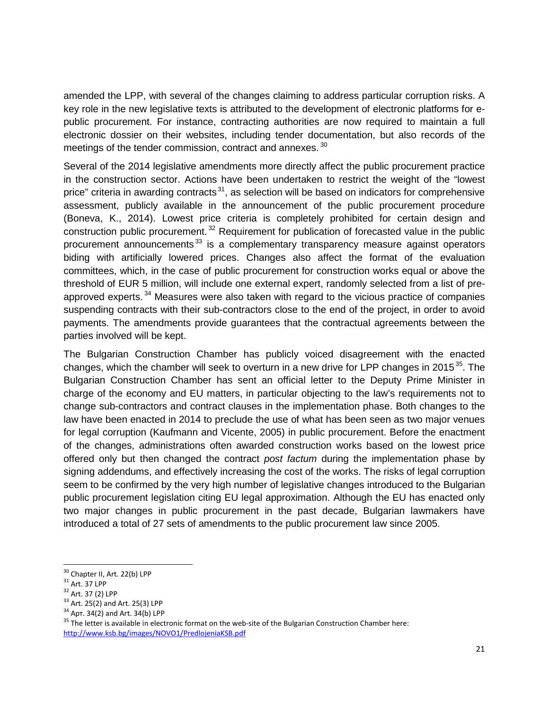amended the LPP, with several of the changes claiming to address particular corruption risks. A key role in the new legislative texts is attributed to the development of electronic platforms for epublic procurement. For instance, contracting authorities are now required to maintain a full electronic dossier on their websites, including tender documentation, but also records of the meetings of the tender commission, contract and annexes.<sup>[30](#page-20-0)</sup>

Several of the 2014 legislative amendments more directly affect the public procurement practice in the construction sector. Actions have been undertaken to restrict the weight of the "lowest price" criteria in awarding contracts<sup>31</sup>, as selection will be based on indicators for comprehensive assessment, publicly available in the announcement of the public procurement procedure (Boneva, K., 2014). Lowest price criteria is completely prohibited for certain design and construction public procurement.<sup>[32](#page-20-2)</sup> Requirement for publication of forecasted value in the public procurement announcements<sup>[33](#page-20-3)</sup> is a complementary transparency measure against operators biding with artificially lowered prices. Changes also affect the format of the evaluation committees, which, in the case of public procurement for construction works equal or above the threshold of EUR 5 million, will include one external expert, randomly selected from a list of pre-approved experts.<sup>[34](#page-20-4)</sup> Measures were also taken with regard to the vicious practice of companies suspending contracts with their sub-contractors close to the end of the project, in order to avoid payments. The amendments provide guarantees that the contractual agreements between the parties involved will be kept.

The Bulgarian Construction Chamber has publicly voiced disagreement with the enacted changes, which the chamber will seek to overturn in a new drive for LPP changes in 2015<sup>[35](#page-20-5)</sup>. The Bulgarian Construction Chamber has sent an official letter to the Deputy Prime Minister in charge of the economy and EU matters, in particular objecting to the law's requirements not to change sub-contractors and contract clauses in the implementation phase. Both changes to the law have been enacted in 2014 to preclude the use of what has been seen as two major venues for legal corruption (Kaufmann and Vicente, 2005) in public procurement. Before the enactment of the changes, administrations often awarded construction works based on the lowest price offered only but then changed the contract *post factum* during the implementation phase by signing addendums, and effectively increasing the cost of the works. The risks of legal corruption seem to be confirmed by the very high number of legislative changes introduced to the Bulgarian public procurement legislation citing EU legal approximation. Although the EU has enacted only two major changes in public procurement in the past decade, Bulgarian lawmakers have introduced a total of 27 sets of amendments to the public procurement law since 2005.

<span id="page-20-0"></span><sup>&</sup>lt;sup>30</sup> Chapter II, Art. 22(b) LPP

<span id="page-20-2"></span>

<span id="page-20-3"></span>

<span id="page-20-5"></span><span id="page-20-4"></span>

<span id="page-20-1"></span><sup>&</sup>lt;sup>31</sup> Art. 37 LPP<br>
<sup>32</sup> Art. 37 (2) LPP<br>
<sup>33</sup> Art. 25(2) and Art. 25(3) LPP<br>
<sup>34</sup> Apr. 34(2) and Art. 34(b) LPP<br>
<sup>35</sup> The letter is available in electronic format on the web-site of the Bulgarian Construction Chamber here: <http://www.ksb.bg/images/NOVO1/PredlojeniaKSB.pdf>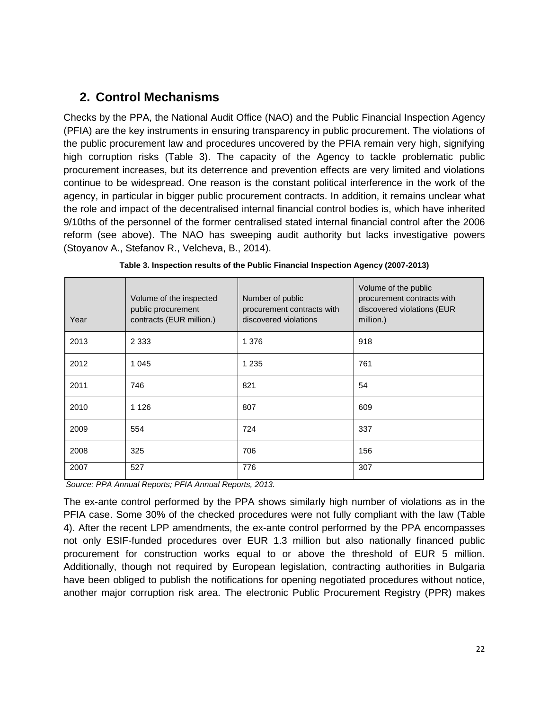## **2. Control Mechanisms**

Checks by the PPA, the National Audit Office (NAO) and the Public Financial Inspection Agency (PFIA) are the key instruments in ensuring transparency in public procurement. The violations of the public procurement law and procedures uncovered by the PFIA remain very high, signifying high corruption risks (Table 3). The capacity of the Agency to tackle problematic public procurement increases, but its deterrence and prevention effects are very limited and violations continue to be widespread. One reason is the constant political interference in the work of the agency, in particular in bigger public procurement contracts. In addition, it remains unclear what the role and impact of the decentralised internal financial control bodies is, which have inherited 9/10ths of the personnel of the former centralised stated internal financial control after the 2006 reform (see above). The NAO has sweeping audit authority but lacks investigative powers (Stoyanov A., Stefanov R., Velcheva, B., 2014).

| Year | Volume of the inspected<br>public procurement<br>contracts (EUR million.) | Number of public<br>procurement contracts with<br>discovered violations | Volume of the public<br>procurement contracts with<br>discovered violations (EUR<br>million.) |
|------|---------------------------------------------------------------------------|-------------------------------------------------------------------------|-----------------------------------------------------------------------------------------------|
| 2013 | 2 3 3 3                                                                   | 1 3 7 6                                                                 | 918                                                                                           |
| 2012 | 1 0 4 5                                                                   | 1 2 3 5                                                                 | 761                                                                                           |
| 2011 | 746                                                                       | 821                                                                     | 54                                                                                            |
| 2010 | 1 1 2 6                                                                   | 807                                                                     | 609                                                                                           |
| 2009 | 554                                                                       | 724                                                                     | 337                                                                                           |
| 2008 | 325                                                                       | 706                                                                     | 156                                                                                           |
| 2007 | 527                                                                       | 776                                                                     | 307                                                                                           |

| Table 3. Inspection results of the Public Financial Inspection Agency (2007-2013) |  |  |
|-----------------------------------------------------------------------------------|--|--|
|-----------------------------------------------------------------------------------|--|--|

*Source: PPA Annual Reports; PFIA Annual Reports, 2013.*

The ex-ante control performed by the PPA shows similarly high number of violations as in the PFIA case. Some 30% of the checked procedures were not fully compliant with the law (Table 4). After the recent LPP amendments, the ex-ante control performed by the PPA encompasses not only ESIF-funded procedures over EUR 1.3 million but also nationally financed public procurement for construction works equal to or above the threshold of EUR 5 million. Additionally, though not required by European legislation, contracting authorities in Bulgaria have been obliged to publish the notifications for opening negotiated procedures without notice, another major corruption risk area. The electronic Public Procurement Registry (PPR) makes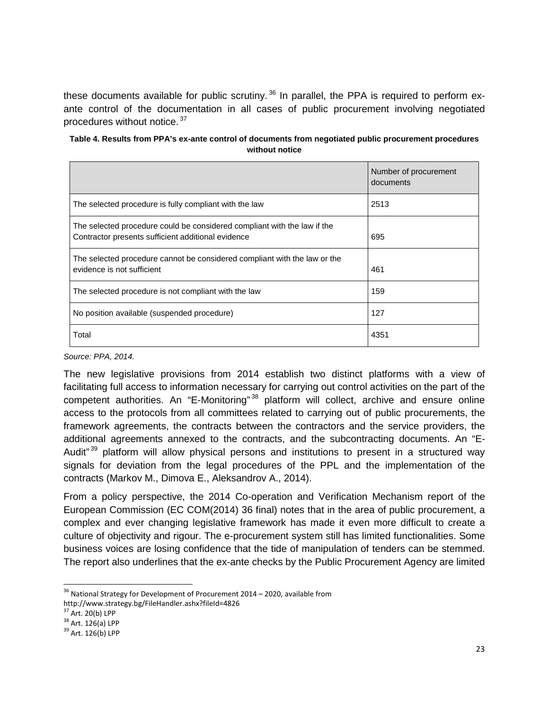these documents available for public scrutiny.<sup>[36](#page-22-0)</sup> In parallel, the PPA is required to perform exante control of the documentation in all cases of public procurement involving negotiated procedures without notice. [37](#page-22-1)

| Table 4. Results from PPA's ex-ante control of documents from negotiated public procurement procedures |
|--------------------------------------------------------------------------------------------------------|
| without notice                                                                                         |

|                                                                                                                                | Number of procurement<br>documents |
|--------------------------------------------------------------------------------------------------------------------------------|------------------------------------|
| The selected procedure is fully compliant with the law                                                                         | 2513                               |
| The selected procedure could be considered compliant with the law if the<br>Contractor presents sufficient additional evidence | 695                                |
| The selected procedure cannot be considered compliant with the law or the<br>evidence is not sufficient                        | 461                                |
| The selected procedure is not compliant with the law                                                                           | 159                                |
| No position available (suspended procedure)                                                                                    | 127                                |
| Total                                                                                                                          | 4351                               |

*Source: PPA, 2014.*

The new legislative provisions from 2014 establish two distinct platforms with a view of facilitating full access to information necessary for carrying out control activities on the part of the competent authorities. An "E-Monitoring"<sup>[38](#page-22-2)</sup> platform will collect, archive and ensure online access to the protocols from all committees related to carrying out of public procurements, the framework agreements, the contracts between the contractors and the service providers, the additional agreements annexed to the contracts, and the subcontracting documents. An "E-Audit<sup>"[39](#page-22-3)</sup> platform will allow physical persons and institutions to present in a structured way signals for deviation from the legal procedures of the PPL and the implementation of the contracts (Markov M., Dimova E., Aleksandrov A., 2014).

From a policy perspective, the 2014 Co-operation and Verification Mechanism report of the European Commission (EC COM(2014) 36 final) notes that in the area of public procurement, a complex and ever changing legislative framework has made it even more difficult to create a culture of objectivity and rigour. The e-procurement system still has limited functionalities. Some business voices are losing confidence that the tide of manipulation of tenders can be stemmed. The report also underlines that the ex-ante checks by the Public Procurement Agency are limited

 $\overline{\phantom{a}}$ 

<span id="page-22-0"></span> $36$  National Strategy for Development of Procurement 2014 – 2020, available from

http://www.strategy.bg/FileHandler.ashx?fileId=4826<br><sup>37</sup> Art. 20(b) LPP

<span id="page-22-1"></span>

<span id="page-22-2"></span> $38$  Art. 126(a) LPP  $39$  Art. 126(b) LPP

<span id="page-22-3"></span>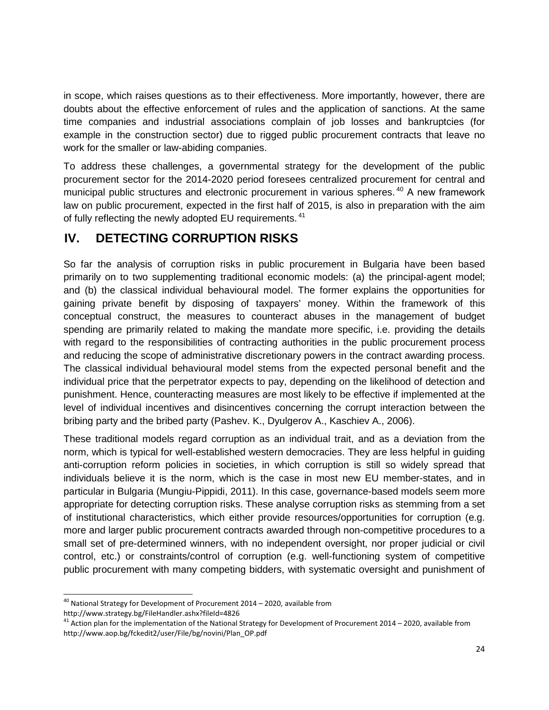in scope, which raises questions as to their effectiveness. More importantly, however, there are doubts about the effective enforcement of rules and the application of sanctions. At the same time companies and industrial associations complain of job losses and bankruptcies (for example in the construction sector) due to rigged public procurement contracts that leave no work for the smaller or law-abiding companies.

To address these challenges, a governmental strategy for the development of the public procurement sector for the 2014-2020 period foresees centralized procurement for central and municipal public structures and electronic procurement in various spheres.<sup>[40](#page-23-0)</sup> A new framework law on public procurement, expected in the first half of 2015, is also in preparation with the aim of fully reflecting the newly adopted EU requirements.<sup>[41](#page-23-1)</sup>

## **IV. DETECTING CORRUPTION RISKS**

So far the analysis of corruption risks in public procurement in Bulgaria have been based primarily on to two supplementing traditional economic models: (a) the principal-agent model; and (b) the classical individual behavioural model. The former explains the opportunities for gaining private benefit by disposing of taxpayers' money. Within the framework of this conceptual construct, the measures to counteract abuses in the management of budget spending are primarily related to making the mandate more specific, i.e. providing the details with regard to the responsibilities of contracting authorities in the public procurement process and reducing the scope of administrative discretionary powers in the contract awarding process. The classical individual behavioural model stems from the expected personal benefit and the individual price that the perpetrator expects to pay, depending on the likelihood of detection and punishment. Hence, counteracting measures are most likely to be effective if implemented at the level of individual incentives and disincentives concerning the corrupt interaction between the bribing party and the bribed party (Pashev. K., Dyulgerov A., Kaschiev A., 2006).

These traditional models regard corruption as an individual trait, and as a deviation from the norm, which is typical for well-established western democracies. They are less helpful in guiding anti-corruption reform policies in societies, in which corruption is still so widely spread that individuals believe it is the norm, which is the case in most new EU member-states, and in particular in Bulgaria (Mungiu-Pippidi, 2011). In this case, governance-based models seem more appropriate for detecting corruption risks. These analyse corruption risks as stemming from a set of institutional characteristics, which either provide resources/opportunities for corruption (e.g. more and larger public procurement contracts awarded through non-competitive procedures to a small set of pre-determined winners, with no independent oversight, nor proper judicial or civil control, etc.) or constraints/control of corruption (e.g. well-functioning system of competitive public procurement with many competing bidders, with systematic oversight and punishment of

 $\overline{a}$ 

<span id="page-23-0"></span> $^{40}$  National Strategy for Development of Procurement 2014 – 2020, available from http://www.strategy.bg/FileHandler.ashx?fileId=4826

<span id="page-23-1"></span> $41$  Action plan for the implementation of the National Strategy for Development of Procurement 2014 – 2020, available from http://www.aop.bg/fckedit2/user/File/bg/novini/Plan\_OP.pdf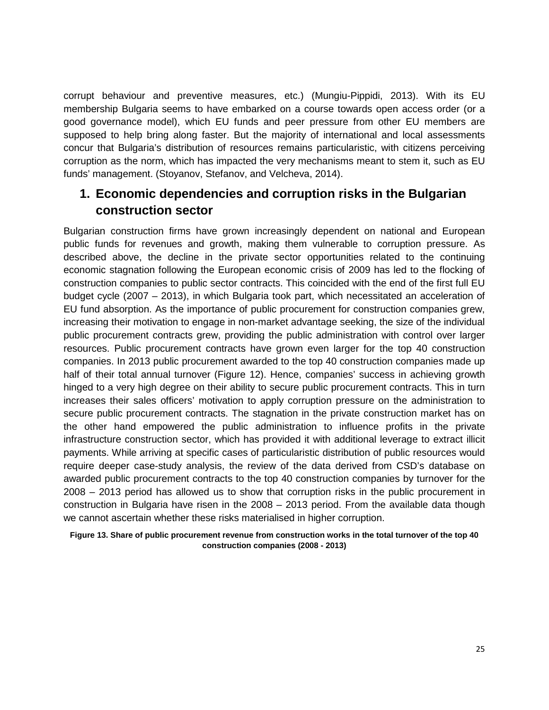corrupt behaviour and preventive measures, etc.) (Mungiu-Pippidi, 2013). With its EU membership Bulgaria seems to have embarked on a course towards open access order (or a good governance model), which EU funds and peer pressure from other EU members are supposed to help bring along faster. But the majority of international and local assessments concur that Bulgaria's distribution of resources remains particularistic, with citizens perceiving corruption as the norm, which has impacted the very mechanisms meant to stem it, such as EU funds' management. (Stoyanov, Stefanov, and Velcheva, 2014).

## **1. Economic dependencies and corruption risks in the Bulgarian construction sector**

Bulgarian construction firms have grown increasingly dependent on national and European public funds for revenues and growth, making them vulnerable to corruption pressure. As described above, the decline in the private sector opportunities related to the continuing economic stagnation following the European economic crisis of 2009 has led to the flocking of construction companies to public sector contracts. This coincided with the end of the first full EU budget cycle (2007 – 2013), in which Bulgaria took part, which necessitated an acceleration of EU fund absorption. As the importance of public procurement for construction companies grew, increasing their motivation to engage in non-market advantage seeking, the size of the individual public procurement contracts grew, providing the public administration with control over larger resources. Public procurement contracts have grown even larger for the top 40 construction companies. In 2013 public procurement awarded to the top 40 construction companies made up half of their total annual turnover (Figure 12). Hence, companies' success in achieving growth hinged to a very high degree on their ability to secure public procurement contracts. This in turn increases their sales officers' motivation to apply corruption pressure on the administration to secure public procurement contracts. The stagnation in the private construction market has on the other hand empowered the public administration to influence profits in the private infrastructure construction sector, which has provided it with additional leverage to extract illicit payments. While arriving at specific cases of particularistic distribution of public resources would require deeper case-study analysis, the review of the data derived from CSD's database on awarded public procurement contracts to the top 40 construction companies by turnover for the 2008 – 2013 period has allowed us to show that corruption risks in the public procurement in construction in Bulgaria have risen in the 2008 – 2013 period. From the available data though we cannot ascertain whether these risks materialised in higher corruption.

**Figure 13. Share of public procurement revenue from construction works in the total turnover of the top 40 construction companies (2008 - 2013)**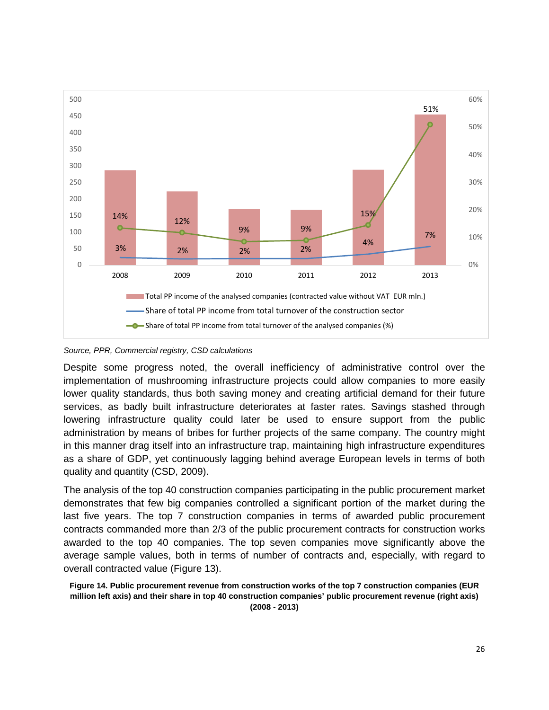

*Source, PPR, Commercial registry, CSD calculations*

Despite some progress noted, the overall inefficiency of administrative control over the implementation of mushrooming infrastructure projects could allow companies to more easily lower quality standards, thus both saving money and creating artificial demand for their future services, as badly built infrastructure deteriorates at faster rates. Savings stashed through lowering infrastructure quality could later be used to ensure support from the public administration by means of bribes for further projects of the same company. The country might in this manner drag itself into an infrastructure trap, maintaining high infrastructure expenditures as a share of GDP, yet continuously lagging behind average European levels in terms of both quality and quantity (CSD, 2009).

The analysis of the top 40 construction companies participating in the public procurement market demonstrates that few big companies controlled a significant portion of the market during the last five years. The top 7 construction companies in terms of awarded public procurement contracts commanded more than 2/3 of the public procurement contracts for construction works awarded to the top 40 companies. The top seven companies move significantly above the average sample values, both in terms of number of contracts and, especially, with regard to overall contracted value (Figure 13).

**Figure 14. Public procurement revenue from construction works of the top 7 construction companies (EUR million left axis) and their share in top 40 construction companies' public procurement revenue (right axis) (2008 - 2013)**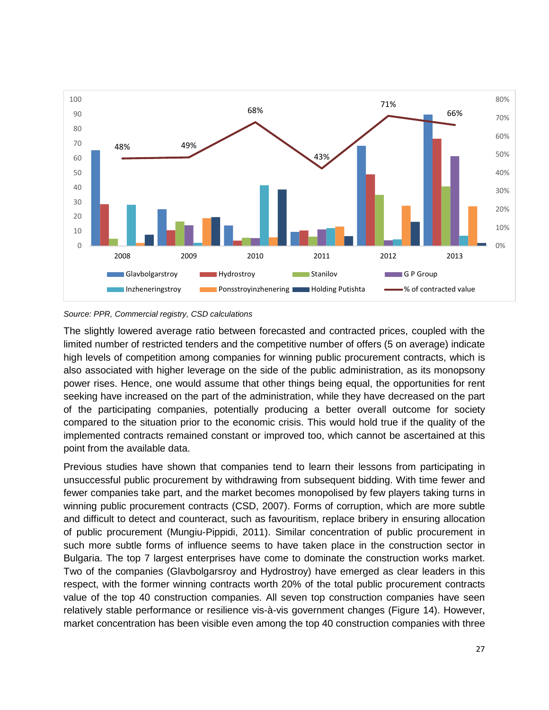

#### *Source: PPR, Commercial registry, CSD calculations*

The slightly lowered average ratio between forecasted and contracted prices, coupled with the limited number of restricted tenders and the competitive number of offers (5 on average) indicate high levels of competition among companies for winning public procurement contracts, which is also associated with higher leverage on the side of the public administration, as its monopsony power rises. Hence, one would assume that other things being equal, the opportunities for rent seeking have increased on the part of the administration, while they have decreased on the part of the participating companies, potentially producing a better overall outcome for society compared to the situation prior to the economic crisis. This would hold true if the quality of the implemented contracts remained constant or improved too, which cannot be ascertained at this point from the available data.

Previous studies have shown that companies tend to learn their lessons from participating in unsuccessful public procurement by withdrawing from subsequent bidding. With time fewer and fewer companies take part, and the market becomes monopolised by few players taking turns in winning public procurement contracts (CSD, 2007). Forms of corruption, which are more subtle and difficult to detect and counteract, such as favouritism, replace bribery in ensuring allocation of public procurement (Mungiu-Pippidi, 2011). Similar concentration of public procurement in such more subtle forms of influence seems to have taken place in the construction sector in Bulgaria. The top 7 largest enterprises have come to dominate the construction works market. Two of the companies (Glavbolgarsroy and Hydrostroy) have emerged as clear leaders in this respect, with the former winning contracts worth 20% of the total public procurement contracts value of the top 40 construction companies. All seven top construction companies have seen relatively stable performance or resilience vis-à-vis government changes (Figure 14). However, market concentration has been visible even among the top 40 construction companies with three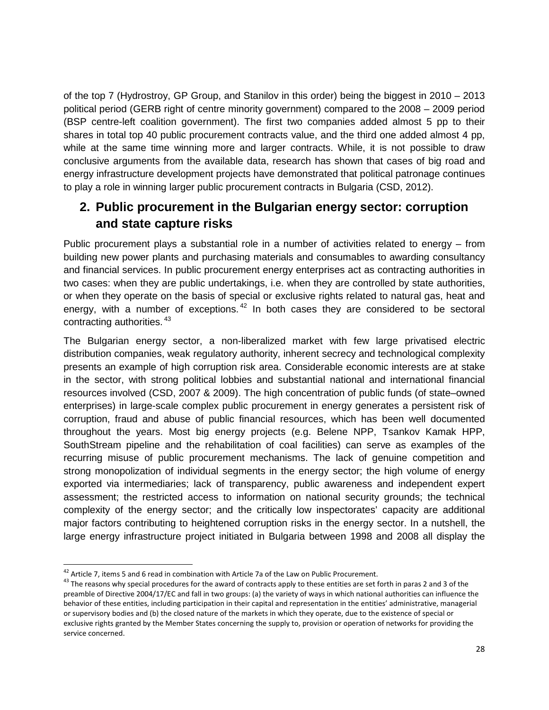of the top 7 (Hydrostroy, GP Group, and Stanilov in this order) being the biggest in 2010 – 2013 political period (GERB right of centre minority government) compared to the 2008 – 2009 period (BSP centre-left coalition government). The first two companies added almost 5 pp to their shares in total top 40 public procurement contracts value, and the third one added almost 4 pp, while at the same time winning more and larger contracts. While, it is not possible to draw conclusive arguments from the available data, research has shown that cases of big road and energy infrastructure development projects have demonstrated that political patronage continues to play a role in winning larger public procurement contracts in Bulgaria (CSD, 2012).

## **2. Public procurement in the Bulgarian energy sector: corruption and state capture risks**

Public procurement plays a substantial role in a number of activities related to energy – from building new power plants and purchasing materials and consumables to awarding consultancy and financial services. In public procurement energy enterprises act as contracting authorities in two cases: when they are public undertakings, i.e. when they are controlled by state authorities, or when they operate on the basis of special or exclusive rights related to natural gas, heat and energy, with a number of exceptions.  $42$  In both cases they are considered to be sectoral contracting authorities. [43](#page-27-1)

The Bulgarian energy sector, a non-liberalized market with few large privatised electric distribution companies, weak regulatory authority, inherent secrecy and technological complexity presents an example of high corruption risk area. Considerable economic interests are at stake in the sector, with strong political lobbies and substantial national and international financial resources involved (CSD, 2007 & 2009). The high concentration of public funds (of state–owned enterprises) in large-scale complex public procurement in energy generates a persistent risk of corruption, fraud and abuse of public financial resources, which has been well documented throughout the years. Most big energy projects (e.g. Belene NPP, Tsankov Kamak HPP, SouthStream pipeline and the rehabilitation of coal facilities) can serve as examples of the recurring misuse of public procurement mechanisms. The lack of genuine competition and strong monopolization of individual segments in the energy sector; the high volume of energy exported via intermediaries; lack of transparency, public awareness and independent expert assessment; the restricted access to information on national security grounds; the technical complexity of the energy sector; and the critically low inspectorates' capacity are additional major factors contributing to heightened corruption risks in the energy sector. In a nutshell, the large energy infrastructure project initiated in Bulgaria between 1998 and 2008 all display the

<span id="page-27-0"></span><sup>&</sup>lt;sup>42</sup> Article 7, items 5 and 6 read in combination with Article 7a of the Law on Public Procurement.

<span id="page-27-1"></span> $43$  The reasons why special procedures for the award of contracts apply to these entities are set forth in paras 2 and 3 of the preamble of Directive 2004/17/EC and fall in two groups: (a) the variety of ways in which national authorities can influence the behavior of these entities, including participation in their capital and representation in the entities' administrative, managerial or supervisory bodies and (b) the closed nature of the markets in which they operate, due to the existence of special or exclusive rights granted by the Member States concerning the supply to, provision or operation of networks for providing the service concerned.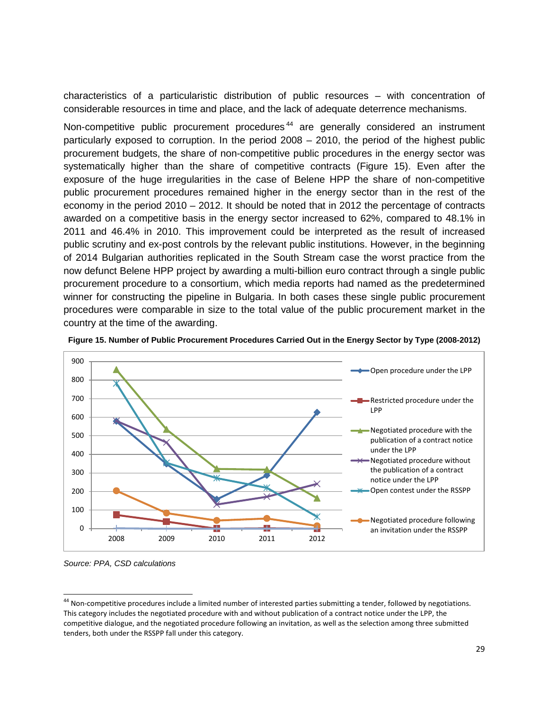characteristics of a particularistic distribution of public resources – with concentration of considerable resources in time and place, and the lack of adequate deterrence mechanisms.

Non-competitive public procurement procedures<sup>[44](#page-28-0)</sup> are generally considered an instrument particularly exposed to corruption. In the period 2008 – 2010, the period of the highest public procurement budgets, the share of non-competitive public procedures in the energy sector was systematically higher than the share of competitive contracts (Figure 15). Even after the exposure of the huge irregularities in the case of Belene HPP the share of non-competitive public procurement procedures remained higher in the energy sector than in the rest of the economy in the period 2010 – 2012. It should be noted that in 2012 the percentage of contracts awarded on a competitive basis in the energy sector increased to 62%, compared to 48.1% in 2011 and 46.4% in 2010. This improvement could be interpreted as the result of increased public scrutiny and ex-post controls by the relevant public institutions. However, in the beginning of 2014 Bulgarian authorities replicated in the South Stream case the worst practice from the now defunct Belene HPP project by awarding a multi-billion euro contract through a single public procurement procedure to a consortium, which media reports had named as the predetermined winner for constructing the pipeline in Bulgaria. In both cases these single public procurement procedures were comparable in size to the total value of the public procurement market in the country at the time of the awarding.



**Figure 15. Number of Public Procurement Procedures Carried Out in the Energy Sector by Type (2008-2012)**

*Source: PPA, CSD calculations* 

 $\overline{a}$ 

<span id="page-28-0"></span><sup>&</sup>lt;sup>44</sup> Non-competitive procedures include a limited number of interested parties submitting a tender, followed by negotiations. This category includes the negotiated procedure with and without publication of a contract notice under the LPP, the competitive dialogue, and the negotiated procedure following an invitation, as well as the selection among three submitted tenders, both under the RSSPP fall under this category.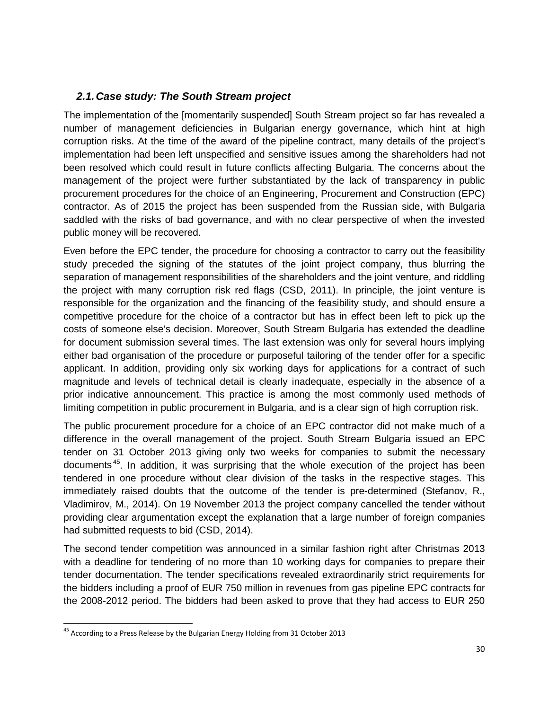#### *2.1.Case study: The South Stream project*

The implementation of the [momentarily suspended] South Stream project so far has revealed a number of management deficiencies in Bulgarian energy governance, which hint at high corruption risks. At the time of the award of the pipeline contract, many details of the project's implementation had been left unspecified and sensitive issues among the shareholders had not been resolved which could result in future conflicts affecting Bulgaria. The concerns about the management of the project were further substantiated by the lack of transparency in public procurement procedures for the choice of an Engineering, Procurement and Construction (EPC) contractor. As of 2015 the project has been suspended from the Russian side, with Bulgaria saddled with the risks of bad governance, and with no clear perspective of when the invested public money will be recovered.

Even before the EPC tender, the procedure for choosing a contractor to carry out the feasibility study preceded the signing of the statutes of the joint project company, thus blurring the separation of management responsibilities of the shareholders and the joint venture, and riddling the project with many corruption risk red flags (CSD, 2011). In principle, the joint venture is responsible for the organization and the financing of the feasibility study, and should ensure a competitive procedure for the choice of a contractor but has in effect been left to pick up the costs of someone else's decision. Moreover, South Stream Bulgaria has extended the deadline for document submission several times. The last extension was only for several hours implying either bad organisation of the procedure or purposeful tailoring of the tender offer for a specific applicant. In addition, providing only six working days for applications for a contract of such magnitude and levels of technical detail is clearly inadequate, especially in the absence of a prior indicative announcement. This practice is among the most commonly used methods of limiting competition in public procurement in Bulgaria, and is a clear sign of high corruption risk.

The public procurement procedure for a choice of an EPC contractor did not make much of a difference in the overall management of the project. South Stream Bulgaria issued an EPC tender on 31 October 2013 giving only two weeks for companies to submit the necessary documents<sup>45</sup>. In addition, it was surprising that the whole execution of the project has been tendered in one procedure without clear division of the tasks in the respective stages. This immediately raised doubts that the outcome of the tender is pre-determined (Stefanov, R., Vladimirov, M., 2014). On 19 November 2013 the project company cancelled the tender without providing clear argumentation except the explanation that a large number of foreign companies had submitted requests to bid (CSD, 2014).

The second tender competition was announced in a similar fashion right after Christmas 2013 with a deadline for tendering of no more than 10 working days for companies to prepare their tender documentation. The tender specifications revealed extraordinarily strict requirements for the bidders including a proof of EUR 750 million in revenues from gas pipeline EPC contracts for the 2008-2012 period. The bidders had been asked to prove that they had access to EUR 250

 $\overline{a}$ 

<span id="page-29-0"></span><sup>&</sup>lt;sup>45</sup> According to a Press Release by the Bulgarian Energy Holding from 31 October 2013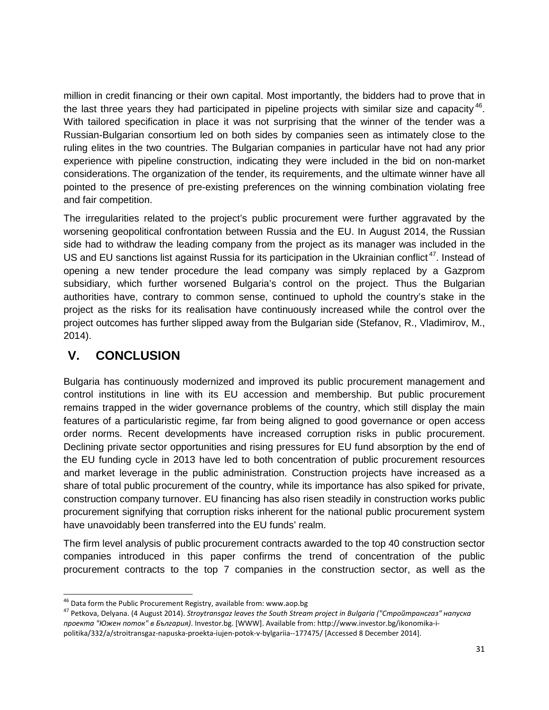million in credit financing or their own capital. Most importantly, the bidders had to prove that in the last three years they had participated in pipeline projects with similar size and capacity  $46$ . With tailored specification in place it was not surprising that the winner of the tender was a Russian-Bulgarian consortium led on both sides by companies seen as intimately close to the ruling elites in the two countries. The Bulgarian companies in particular have not had any prior experience with pipeline construction, indicating they were included in the bid on non-market considerations. The organization of the tender, its requirements, and the ultimate winner have all pointed to the presence of pre-existing preferences on the winning combination violating free and fair competition.

The irregularities related to the project's public procurement were further aggravated by the worsening geopolitical confrontation between Russia and the EU. In August 2014, the Russian side had to withdraw the leading company from the project as its manager was included in the US and EU sanctions list against Russia for its participation in the Ukrainian conflict<sup>[47](#page-30-1)</sup>. Instead of opening a new tender procedure the lead company was simply replaced by a Gazprom subsidiary, which further worsened Bulgaria's control on the project. Thus the Bulgarian authorities have, contrary to common sense, continued to uphold the country's stake in the project as the risks for its realisation have continuously increased while the control over the project outcomes has further slipped away from the Bulgarian side (Stefanov, R., Vladimirov, M., 2014).

## **V. CONCLUSION**

Bulgaria has continuously modernized and improved its public procurement management and control institutions in line with its EU accession and membership. But public procurement remains trapped in the wider governance problems of the country, which still display the main features of a particularistic regime, far from being aligned to good governance or open access order norms. Recent developments have increased corruption risks in public procurement. Declining private sector opportunities and rising pressures for EU fund absorption by the end of the EU funding cycle in 2013 have led to both concentration of public procurement resources and market leverage in the public administration. Construction projects have increased as a share of total public procurement of the country, while its importance has also spiked for private, construction company turnover. EU financing has also risen steadily in construction works public procurement signifying that corruption risks inherent for the national public procurement system have unavoidably been transferred into the EU funds' realm.

The firm level analysis of public procurement contracts awarded to the top 40 construction sector companies introduced in this paper confirms the trend of concentration of the public procurement contracts to the top 7 companies in the construction sector, as well as the

<span id="page-30-0"></span><sup>&</sup>lt;sup>46</sup> Data form the Public Procurement Registry, available from: www.aop.bg

<span id="page-30-1"></span><sup>46</sup> Data form the Public Procurement Registry, available from: www.aop.bg <sup>47</sup> Petkova, Delyana. (4 August 2014). *Stroytransgaz leaves the South Stream project in Bulgaria ("Стройтрансгаз" напуска проекта "Южен поток" в България)*. Investor.bg. [WWW]. Available from: http://www.investor.bg/ikonomika-ipolitika/332/a/stroitransgaz-napuska-proekta-iujen-potok-v-bylgariia--177475/ [Accessed 8 December 2014].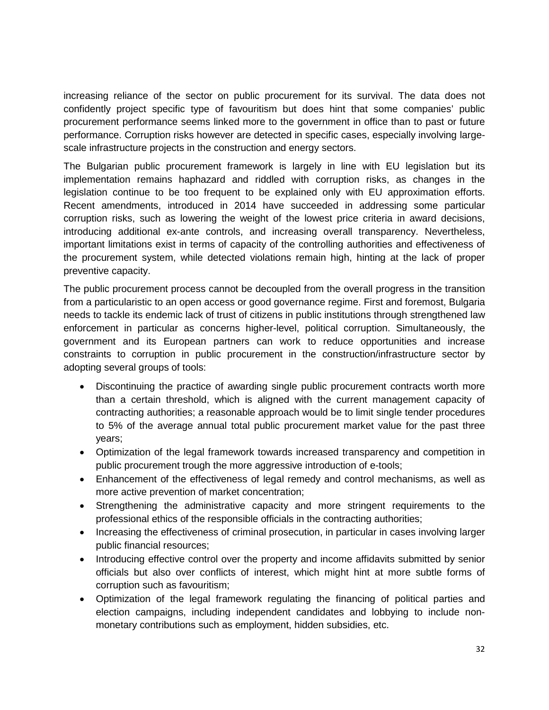increasing reliance of the sector on public procurement for its survival. The data does not confidently project specific type of favouritism but does hint that some companies' public procurement performance seems linked more to the government in office than to past or future performance. Corruption risks however are detected in specific cases, especially involving largescale infrastructure projects in the construction and energy sectors.

The Bulgarian public procurement framework is largely in line with EU legislation but its implementation remains haphazard and riddled with corruption risks, as changes in the legislation continue to be too frequent to be explained only with EU approximation efforts. Recent amendments, introduced in 2014 have succeeded in addressing some particular corruption risks, such as lowering the weight of the lowest price criteria in award decisions, introducing additional ex-ante controls, and increasing overall transparency. Nevertheless, important limitations exist in terms of capacity of the controlling authorities and effectiveness of the procurement system, while detected violations remain high, hinting at the lack of proper preventive capacity.

The public procurement process cannot be decoupled from the overall progress in the transition from a particularistic to an open access or good governance regime. First and foremost, Bulgaria needs to tackle its endemic lack of trust of citizens in public institutions through strengthened law enforcement in particular as concerns higher-level, political corruption. Simultaneously, the government and its European partners can work to reduce opportunities and increase constraints to corruption in public procurement in the construction/infrastructure sector by adopting several groups of tools:

- Discontinuing the practice of awarding single public procurement contracts worth more than a certain threshold, which is aligned with the current management capacity of contracting authorities; a reasonable approach would be to limit single tender procedures to 5% of the average annual total public procurement market value for the past three years;
- Optimization of the legal framework towards increased transparency and competition in public procurement trough the more aggressive introduction of e-tools;
- Enhancement of the effectiveness of legal remedy and control mechanisms, as well as more active prevention of market concentration;
- Strengthening the administrative capacity and more stringent requirements to the professional ethics of the responsible officials in the contracting authorities;
- Increasing the effectiveness of criminal prosecution, in particular in cases involving larger public financial resources;
- Introducing effective control over the property and income affidavits submitted by senior officials but also over conflicts of interest, which might hint at more subtle forms of corruption such as favouritism;
- Optimization of the legal framework regulating the financing of political parties and election campaigns, including independent candidates and lobbying to include nonmonetary contributions such as employment, hidden subsidies, etc.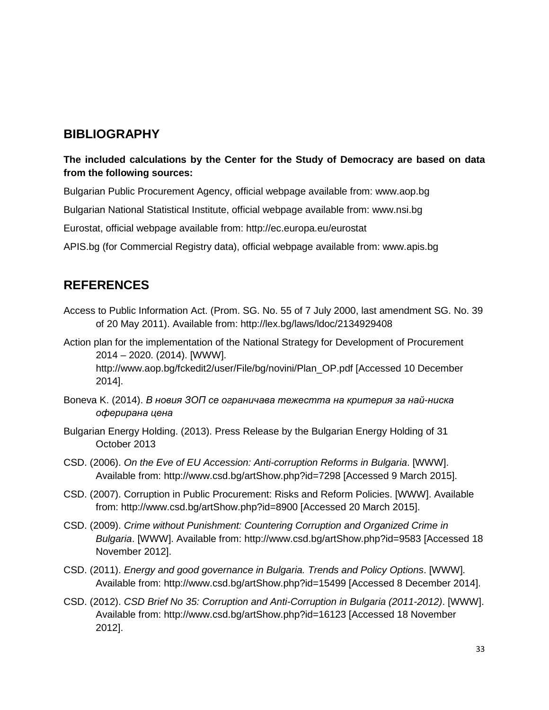### **BIBLIOGRAPHY**

#### **The included calculations by the Center for the Study of Democracy are based on data from the following sources:**

Bulgarian Public Procurement Agency, official webpage available from: www.aop.bg

Bulgarian National Statistical Institute, official webpage available from: www.nsi.bg

Eurostat, official webpage available from: http://ec.europa.eu/eurostat

APIS.bg (for Commercial Registry data), official webpage available from: www.apis.bg

## **REFERENCES**

Access to Public Information Act. (Prom. SG. No. 55 of 7 July 2000, last amendment SG. No. 39 of 20 May 2011). Available from: http://lex.bg/laws/ldoc/2134929408

Action plan for the implementation of the National Strategy for Development of Procurement 2014 – 2020. (2014). [WWW]. http://www.aop.bg/fckedit2/user/File/bg/novini/Plan\_OP.pdf [Accessed 10 December 2014].

- Boneva K. (2014). *В новия ЗОП се ограничава тежестта на критерия за най-ниска оферирана цена*
- Bulgarian Energy Holding. (2013). Press Release by the Bulgarian Energy Holding of 31 October 2013
- CSD. (2006). *On the Eve of EU Accession: Anti-corruption Reforms in Bulgaria*. [WWW]. Available from: http://www.csd.bg/artShow.php?id=7298 [Accessed 9 March 2015].
- CSD. (2007). Corruption in Public Procurement: Risks and Reform Policies. [WWW]. Available from: http://www.csd.bg/artShow.php?id=8900 [Accessed 20 March 2015].
- CSD. (2009). *Crime without Punishment: Countering Corruption and Organized Crime in Bulgaria*. [WWW]. Available from: http://www.csd.bg/artShow.php?id=9583 [Accessed 18 November 2012].
- CSD. (2011). *Energy and good governance in Bulgaria. Trends and Policy Options*. [WWW]. Available from: http://www.csd.bg/artShow.php?id=15499 [Accessed 8 December 2014].
- CSD. (2012). *CSD Brief No 35: Corruption and Anti-Corruption in Bulgaria (2011-2012)*. [WWW]. Available from: http://www.csd.bg/artShow.php?id=16123 [Accessed 18 November 2012].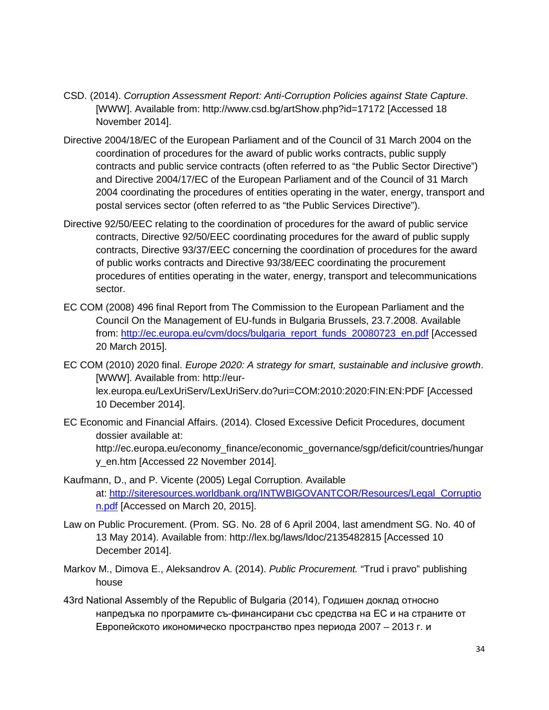- CSD. (2014). *Corruption Assessment Report: Anti-Corruption Policies against State Capture*. [WWW]. Available from: http://www.csd.bg/artShow.php?id=17172 [Accessed 18 November 2014].
- Directive 2004/18/EC of the European Parliament and of the Council of 31 March 2004 on the coordination of procedures for the award of public works contracts, public supply contracts and public service contracts (often referred to as "the Public Sector Directive") and Directive 2004/17/EC of the European Parliament and of the Council of 31 March 2004 coordinating the procedures of entities operating in the water, energy, transport and postal services sector (often referred to as "the Public Services Directive").
- Directive 92/50/EEC relating to the coordination of procedures for the award of public service contracts, Directive 92/50/EEC coordinating procedures for the award of public supply contracts, Directive 93/37/EEC concerning the coordination of procedures for the award of public works contracts and Directive 93/38/EEC coordinating the procurement procedures of entities operating in the water, energy, transport and telecommunications sector.
- EC COM (2008) 496 final Report from The Commission to the European Parliament and the Council On the Management of EU-funds in Bulgaria Brussels, 23.7.2008. Available from: [http://ec.europa.eu/cvm/docs/bulgaria\\_report\\_funds\\_20080723\\_en.pdf](http://ec.europa.eu/cvm/docs/bulgaria_report_funds_20080723_en.pdf) [Accessed 20 March 2015].
- EC COM (2010) 2020 final. *Europe 2020: A strategy for smart, sustainable and inclusive growth*. [WWW]. Available from: http://eurlex.europa.eu/LexUriServ/LexUriServ.do?uri=COM:2010:2020:FIN:EN:PDF [Accessed 10 December 2014].
- EC Economic and Financial Affairs. (2014). Closed Excessive Deficit Procedures, document dossier available at: http://ec.europa.eu/economy\_finance/economic\_governance/sgp/deficit/countries/hungar y\_en.htm [Accessed 22 November 2014].
- Kaufmann, D., and P. Vicente (2005) Legal Corruption. Available at: [http://siteresources.worldbank.org/INTWBIGOVANTCOR/Resources/Legal\\_Corruptio](http://siteresources.worldbank.org/INTWBIGOVANTCOR/Resources/Legal_Corruption.pdf) [n.pdf](http://siteresources.worldbank.org/INTWBIGOVANTCOR/Resources/Legal_Corruption.pdf) [Accessed on March 20, 2015].
- Law on Public Procurement. (Prom. SG. No. 28 of 6 April 2004, last amendment SG. No. 40 of 13 May 2014). Available from: http://lex.bg/laws/ldoc/2135482815 [Accessed 10 December 2014].
- Markov M., Dimova E., Aleksandrov A. (2014). *Public Procurement.* "Trud i pravo" publishing house
- 43rd National Assembly of the Republic of Bulgaria (2014), Годишен доклад относно напредъка по програмите съ-финансирани със средства на ЕС и на страните от Европейското икономическо пространство през периода 2007 – 2013 г. и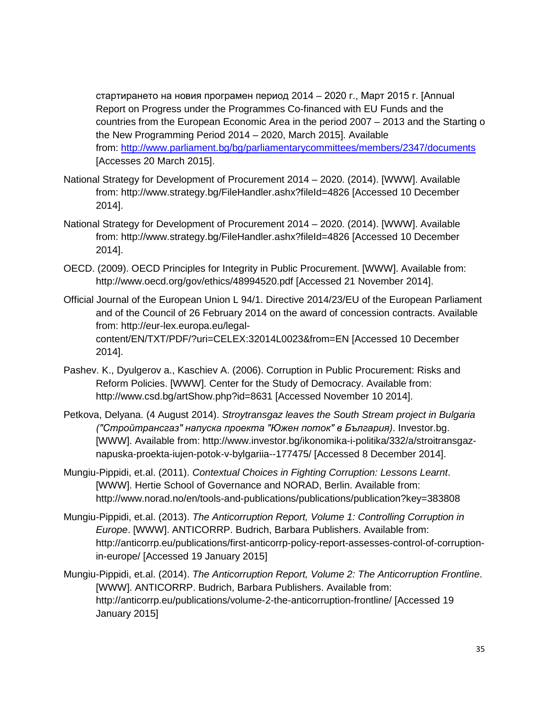стартирането на новия програмен период 2014 – 2020 г., Март 2015 г. [Annual Report on Progress under the Programmes Co-financed with EU Funds and the countries from the European Economic Area in the period 2007 – 2013 and the Starting o the New Programming Period 2014 – 2020, March 2015]. Available from:<http://www.parliament.bg/bg/parliamentarycommittees/members/2347/documents> [Accesses 20 March 2015].

- National Strategy for Development of Procurement 2014 2020. (2014). [WWW]. Available from: http://www.strategy.bg/FileHandler.ashx?fileId=4826 [Accessed 10 December 2014].
- National Strategy for Development of Procurement 2014 2020. (2014). [WWW]. Available from: http://www.strategy.bg/FileHandler.ashx?fileId=4826 [Accessed 10 December 2014].
- OECD. (2009). OECD Principles for Integrity in Public Procurement. [WWW]. Available from: http://www.oecd.org/gov/ethics/48994520.pdf [Accessed 21 November 2014].
- Official Journal of the European Union L 94/1. Directive 2014/23/EU of the European Parliament and of the Council of 26 February 2014 on the award of concession contracts. Available from: http://eur-lex.europa.eu/legalcontent/EN/TXT/PDF/?uri=CELEX:32014L0023&from=EN [Accessed 10 December 2014].
- Pashev. K., Dyulgerov a., Kaschiev A. (2006). Corruption in Public Procurement: Risks and Reform Policies. [WWW]. Center for the Study of Democracy. Available from: http://www.csd.bg/artShow.php?id=8631 [Accessed November 10 2014].
- Petkova, Delyana. (4 August 2014). *Stroytransgaz leaves the South Stream project in Bulgaria ("Стройтрансгаз" напуска проекта "Южен поток" в България)*. Investor.bg. [WWW]. Available from: http://www.investor.bg/ikonomika-i-politika/332/a/stroitransgaznapuska-proekta-iujen-potok-v-bylgariia--177475/ [Accessed 8 December 2014].
- Mungiu-Pippidi, et.al. (2011). *Contextual Choices in Fighting Corruption: Lessons Learnt*. [WWW]. Hertie School of Governance and NORAD, Berlin. Available from: http://www.norad.no/en/tools-and-publications/publications/publication?key=383808
- Mungiu-Pippidi, et.al. (2013). *The Anticorruption Report, Volume 1: Controlling Corruption in Europe*. [WWW]. ANTICORRP. Budrich, Barbara Publishers. Available from: http://anticorrp.eu/publications/first-anticorrp-policy-report-assesses-control-of-corruptionin-europe/ [Accessed 19 January 2015]
- Mungiu-Pippidi, et.al. (2014). *The Anticorruption Report, Volume 2: The Anticorruption Frontline*. [WWW]. ANTICORRP. Budrich, Barbara Publishers. Available from: http://anticorrp.eu/publications/volume-2-the-anticorruption-frontline/ [Accessed 19 January 2015]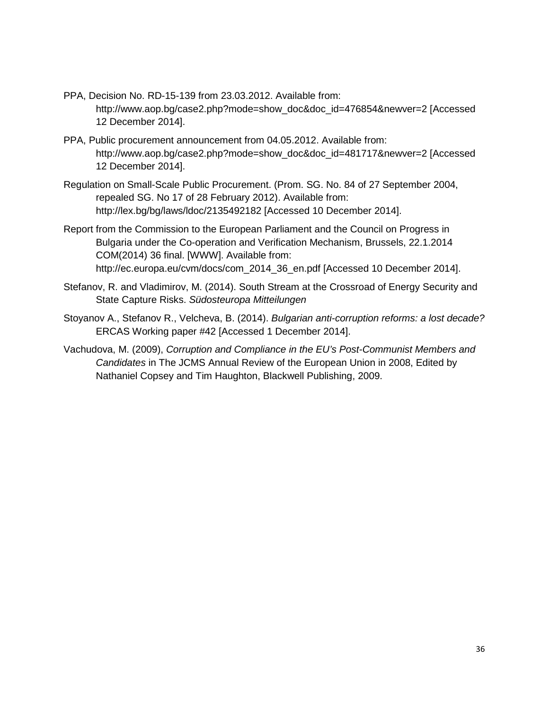- PPA, Decision No. RD-15-139 from 23.03.2012. Available from: http://www.aop.bg/case2.php?mode=show\_doc&doc\_id=476854&newver=2 [Accessed 12 December 2014].
- PPA, Public procurement announcement from 04.05.2012. Available from: http://www.aop.bg/case2.php?mode=show\_doc&doc\_id=481717&newver=2 [Accessed 12 December 2014].
- Regulation on Small-Scale Public Procurement. (Prom. SG. No. 84 of 27 September 2004, repealed SG. No 17 of 28 February 2012). Available from: http://lex.bg/bg/laws/ldoc/2135492182 [Accessed 10 December 2014].
- Report from the Commission to the European Parliament and the Council on Progress in Bulgaria under the Co-operation and Verification Mechanism, Brussels, 22.1.2014 COM(2014) 36 final. [WWW]. Available from: http://ec.europa.eu/cvm/docs/com\_2014\_36\_en.pdf [Accessed 10 December 2014].
- Stefanov, R. and Vladimirov, M. (2014). South Stream at the Crossroad of Energy Security and State Capture Risks. *Südosteuropa Mitteilungen*
- Stoyanov A., Stefanov R., Velcheva, B. (2014). *Bulgarian anti-corruption reforms: a lost decade?* ERCAS Working paper #42 [Accessed 1 December 2014].
- Vachudova, M. (2009), *Corruption and Compliance in the EU's Post-Communist Members and Candidates* in The JCMS Annual Review of the European Union in 2008, Edited by Nathaniel Copsey and Tim Haughton, Blackwell Publishing, 2009.